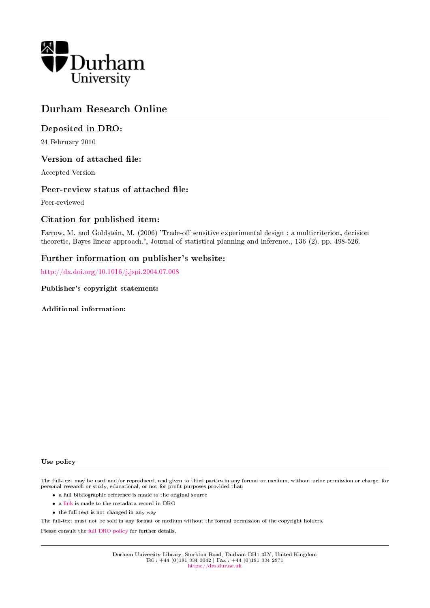

## Durham Research Online

### Deposited in DRO:

24 February 2010

### Version of attached file:

Accepted Version

### Peer-review status of attached file:

Peer-reviewed

### Citation for published item:

Farrow, M. and Goldstein, M. (2006) 'Trade-off sensitive experimental design : a multicriterion, decision theoretic, Bayes linear approach.', Journal of statistical planning and inference., 136 (2). pp. 498-526.

### Further information on publisher's website:

<http://dx.doi.org/10.1016/j.jspi.2004.07.008>

Publisher's copyright statement:

Additional information:

#### Use policy

The full-text may be used and/or reproduced, and given to third parties in any format or medium, without prior permission or charge, for personal research or study, educational, or not-for-profit purposes provided that:

- a full bibliographic reference is made to the original source
- a [link](http://dro.dur.ac.uk/3118/) is made to the metadata record in DRO
- the full-text is not changed in any way

The full-text must not be sold in any format or medium without the formal permission of the copyright holders.

Please consult the [full DRO policy](https://dro.dur.ac.uk/policies/usepolicy.pdf) for further details.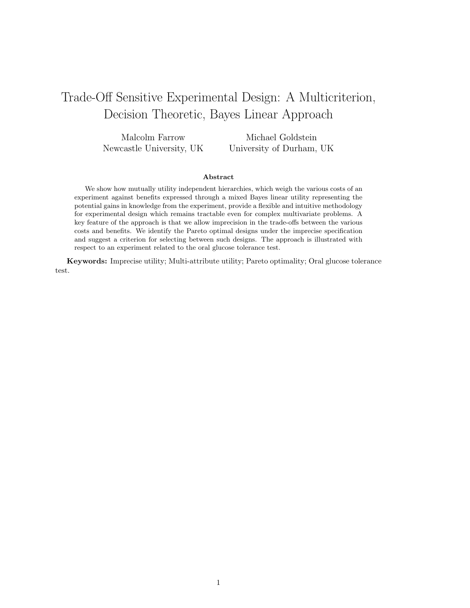# Trade-Off Sensitive Experimental Design: A Multicriterion, Decision Theoretic, Bayes Linear Approach

Malcolm Farrow Newcastle University, UK Michael Goldstein University of Durham, UK

#### Abstract

We show how mutually utility independent hierarchies, which weigh the various costs of an experiment against benefits expressed through a mixed Bayes linear utility representing the potential gains in knowledge from the experiment, provide a flexible and intuitive methodology for experimental design which remains tractable even for complex multivariate problems. A key feature of the approach is that we allow imprecision in the trade-offs between the various costs and benefits. We identify the Pareto optimal designs under the imprecise specification and suggest a criterion for selecting between such designs. The approach is illustrated with respect to an experiment related to the oral glucose tolerance test.

Keywords: Imprecise utility; Multi-attribute utility; Pareto optimality; Oral glucose tolerance test.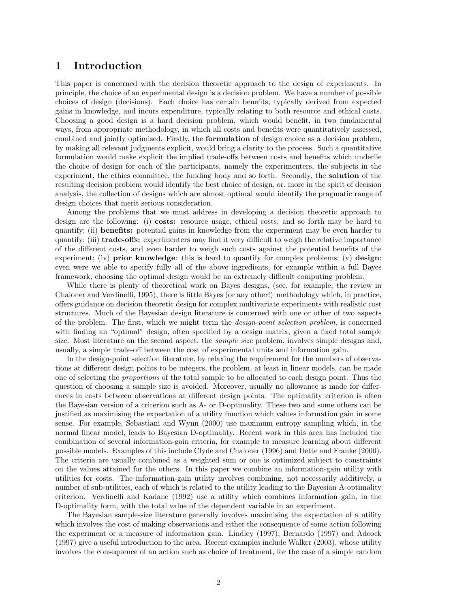### 1 Introduction

This paper is concerned with the decision theoretic approach to the design of experiments. In principle, the choice of an experimental design is a decision problem. We have a number of possible choices of design (decisions). Each choice has certain benefits, typically derived from expected gains in knowledge, and incurs expenditure, typically relating to both resource and ethical costs. Choosing a good design is a hard decision problem, which would benefit, in two fundamental ways, from appropriate methodology, in which all costs and benefits were quantitatively assessed, combined and jointly optimised. Firstly, the formulation of design choice as a decision problem, by making all relevant judgments explicit, would bring a clarity to the process. Such a quantitative formulation would make explicit the implied trade-offs between costs and benefits which underlie the choice of design for each of the participants, namely the experimenters, the subjects in the experiment, the ethics committee, the funding body and so forth. Secondly, the **solution** of the resulting decision problem would identify the best choice of design, or, more in the spirit of decision analysis, the collection of designs which are almost optimal would identify the pragmatic range of design choices that merit serious consideration.

Among the problems that we must address in developing a decision theoretic approach to design are the following: (i) costs: resource usage, ethical costs, and so forth may be hard to quantify; (ii) benefits: potential gains in knowledge from the experiment may be even harder to quantify; (iii) **trade-offs:** experimenters may find it very difficult to weigh the relative importance of the different costs, and even harder to weigh such costs against the potential benefits of the experiment; (iv) prior knowledge: this is hard to quantify for complex problems; (v) design: even were we able to specify fully all of the above ingredients, for example within a full Bayes framework, choosing the optimal design would be an extremely difficult computing problem.

While there is plenty of theoretical work on Bayes designs, (see, for example, the review in Chaloner and Verdinelli, 1995), there is little Bayes (or any other!) methodology which, in practice, offers guidance on decision theoretic design for complex multivariate experiments with realistic cost structures. Much of the Bayesian design literature is concerned with one or other of two aspects of the problem. The first, which we might term the design-point selection problem, is concerned with finding an "optimal" design, often specified by a design matrix, given a fixed total sample size. Most literature on the second aspect, the *sample size* problem, involves simple designs and, usually, a simple trade-off between the cost of experimental units and information gain.

In the design-point selection literature, by relaxing the requirement for the numbers of observations at different design points to be integers, the problem, at least in linear models, can be made one of selecting the proportions of the total sample to be allocated to each design point. Thus the question of choosing a sample size is avoided. Moreover, usually no allowance is made for differences in costs between observations at different design points. The optimality criterion is often the Bayesian version of a criterion such as A- or D-optimality. These two and some others can be justified as maximising the expectation of a utility function which values information gain in some sense. For example, Sebastiani and Wynn (2000) use maximum entropy sampling which, in the normal linear model, leads to Bayesian D-optimality. Recent work in this area has included the combination of several information-gain criteria, for example to measure learning about different possible models. Examples of this include Clyde and Chaloner (1996) and Dette and Franke (2000). The criteria are usually combined as a weighted sum or one is optimized subject to constraints on the values attained for the others. In this paper we combine an information-gain utility with utilities for costs. The information-gain utility involves combining, not necessarily additively, a number of sub-utilities, each of which is related to the utility leading to the Bayesian A-optimality criterion. Verdinelli and Kadane (1992) use a utility which combines information gain, in the D-optimality form, with the total value of the dependent variable in an experiment.

The Bayesian sample-size literature generally involves maximising the expectation of a utility which involves the cost of making observations and either the consequence of some action following the experiment or a measure of information gain. Lindley (1997), Bernardo (1997) and Adcock (1997) give a useful introduction to the area. Recent examples include Walker (2003), whose utility involves the consequence of an action such as choice of treatment, for the case of a simple random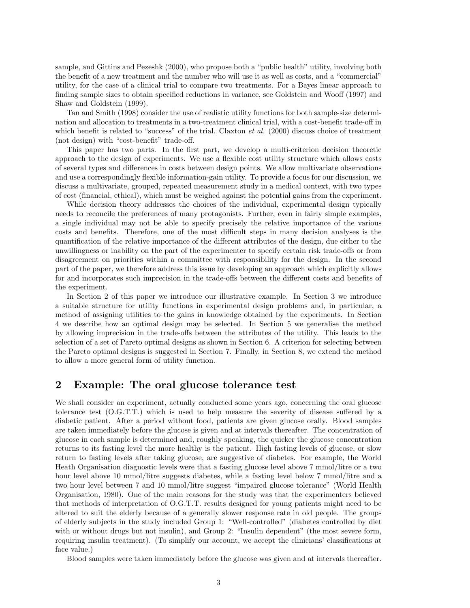sample, and Gittins and Pezeshk (2000), who propose both a "public health" utility, involving both the benefit of a new treatment and the number who will use it as well as costs, and a "commercial" utility, for the case of a clinical trial to compare two treatments. For a Bayes linear approach to finding sample sizes to obtain specified reductions in variance, see Goldstein and Wooff (1997) and Shaw and Goldstein (1999).

Tan and Smith (1998) consider the use of realistic utility functions for both sample-size determination and allocation to treatments in a two-treatment clinical trial, with a cost-benefit trade-off in which benefit is related to "success" of the trial. Claxton *et al.* (2000) discuss choice of treatment (not design) with "cost-benefit" trade-off.

This paper has two parts. In the first part, we develop a multi-criterion decision theoretic approach to the design of experiments. We use a flexible cost utility structure which allows costs of several types and differences in costs between design points. We allow multivariate observations and use a correspondingly flexible information-gain utility. To provide a focus for our discussion, we discuss a multivariate, grouped, repeated measurement study in a medical context, with two types of cost (financial, ethical), which must be weighed against the potential gains from the experiment.

While decision theory addresses the choices of the individual, experimental design typically needs to reconcile the preferences of many protagonists. Further, even in fairly simple examples, a single individual may not be able to specify precisely the relative importance of the various costs and benefits. Therefore, one of the most difficult steps in many decision analyses is the quantification of the relative importance of the different attributes of the design, due either to the unwillingness or inability on the part of the experimenter to specify certain risk trade-offs or from disagreement on priorities within a committee with responsibility for the design. In the second part of the paper, we therefore address this issue by developing an approach which explicitly allows for and incorporates such imprecision in the trade-offs between the different costs and benefits of the experiment.

In Section 2 of this paper we introduce our illustrative example. In Section 3 we introduce a suitable structure for utility functions in experimental design problems and, in particular, a method of assigning utilities to the gains in knowledge obtained by the experiments. In Section 4 we describe how an optimal design may be selected. In Section 5 we generalise the method by allowing imprecision in the trade-offs between the attributes of the utility. This leads to the selection of a set of Pareto optimal designs as shown in Section 6. A criterion for selecting between the Pareto optimal designs is suggested in Section 7. Finally, in Section 8, we extend the method to allow a more general form of utility function.

### 2 Example: The oral glucose tolerance test

We shall consider an experiment, actually conducted some years ago, concerning the oral glucose tolerance test (O.G.T.T.) which is used to help measure the severity of disease suffered by a diabetic patient. After a period without food, patients are given glucose orally. Blood samples are taken immediately before the glucose is given and at intervals thereafter. The concentration of glucose in each sample is determined and, roughly speaking, the quicker the glucose concentration returns to its fasting level the more healthy is the patient. High fasting levels of glucose, or slow return to fasting levels after taking glucose, are suggestive of diabetes. For example, the World Heath Organisation diagnostic levels were that a fasting glucose level above 7 mmol/litre or a two hour level above 10 mmol/litre suggests diabetes, while a fasting level below 7 mmol/litre and a two hour level between 7 and 10 mmol/litre suggest "impaired glucose tolerance" (World Health Organisation, 1980). One of the main reasons for the study was that the experimenters believed that methods of interpretation of O.G.T.T. results designed for young patients might need to be altered to suit the elderly because of a generally slower response rate in old people. The groups of elderly subjects in the study included Group 1: "Well-controlled" (diabetes controlled by diet with or without drugs but not insulin), and Group 2: "Insulin dependent" (the most severe form, requiring insulin treatment). (To simplify our account, we accept the clinicians' classifications at face value.)

Blood samples were taken immediately before the glucose was given and at intervals thereafter.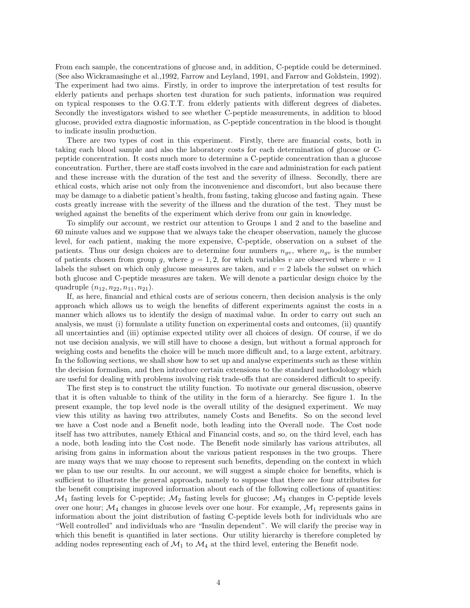From each sample, the concentrations of glucose and, in addition, C-peptide could be determined. (See also Wickramasinghe et al.,1992, Farrow and Leyland, 1991, and Farrow and Goldstein, 1992). The experiment had two aims. Firstly, in order to improve the interpretation of test results for elderly patients and perhaps shorten test duration for such patients, information was required on typical responses to the O.G.T.T. from elderly patients with different degrees of diabetes. Secondly the investigators wished to see whether C-peptide measurements, in addition to blood glucose, provided extra diagnostic information, as C-peptide concentration in the blood is thought to indicate insulin production.

There are two types of cost in this experiment. Firstly, there are financial costs, both in taking each blood sample and also the laboratory costs for each determination of glucose or Cpeptide concentration. It costs much more to determine a C-peptide concentration than a glucose concentration. Further, there are staff costs involved in the care and administration for each patient and these increase with the duration of the test and the severity of illness. Secondly, there are ethical costs, which arise not only from the inconvenience and discomfort, but also because there may be damage to a diabetic patient's health, from fasting, taking glucose and fasting again. These costs greatly increase with the severity of the illness and the duration of the test. They must be weighed against the benefits of the experiment which derive from our gain in knowledge.

To simplify our account, we restrict our attention to Groups 1 and 2 and to the baseline and 60 minute values and we suppose that we always take the cheaper observation, namely the glucose level, for each patient, making the more expensive, C-peptide, observation on a subset of the patients. Thus our design choices are to determine four numbers  $n_{av}$ , where  $n_{av}$  is the number of patients chosen from group g, where  $g = 1, 2$ , for which variables v are observed where  $v = 1$ labels the subset on which only glucose measures are taken, and  $v = 2$  labels the subset on which both glucose and C-peptide measures are taken. We will denote a particular design choice by the quadruple  $(n_{12}, n_{22}, n_{11}, n_{21})$ .

If, as here, financial and ethical costs are of serious concern, then decision analysis is the only approach which allows us to weigh the benefits of different experiments against the costs in a manner which allows us to identify the design of maximal value. In order to carry out such an analysis, we must (i) formulate a utility function on experimental costs and outcomes, (ii) quantify all uncertainties and (iii) optimise expected utility over all choices of design. Of course, if we do not use decision analysis, we will still have to choose a design, but without a formal approach for weighing costs and benefits the choice will be much more difficult and, to a large extent, arbitrary. In the following sections, we shall show how to set up and analyse experiments such as these within the decision formalism, and then introduce certain extensions to the standard methodology which are useful for dealing with problems involving risk trade-offs that are considered difficult to specify.

The first step is to construct the utility function. To motivate our general discussion, observe that it is often valuable to think of the utility in the form of a hierarchy. See figure 1. In the present example, the top level node is the overall utility of the designed experiment. We may view this utility as having two attributes, namely Costs and Benefits. So on the second level we have a Cost node and a Benefit node, both leading into the Overall node. The Cost node itself has two attributes, namely Ethical and Financial costs, and so, on the third level, each has a node, both leading into the Cost node. The Benefit node similarly has various attributes, all arising from gains in information about the various patient responses in the two groups. There are many ways that we may choose to represent such benefits, depending on the context in which we plan to use our results. In our account, we will suggest a simple choice for benefits, which is sufficient to illustrate the general approach, namely to suppose that there are four attributes for the benefit comprising improved information about each of the following collections of quantities:  $\mathcal{M}_1$  fasting levels for C-peptide;  $\mathcal{M}_2$  fasting levels for glucose;  $\mathcal{M}_3$  changes in C-peptide levels over one hour;  $\mathcal{M}_4$  changes in glucose levels over one hour. For example,  $\mathcal{M}_1$  represents gains in information about the joint distribution of fasting C-peptide levels both for individuals who are "Well controlled" and individuals who are "Insulin dependent". We will clarify the precise way in which this benefit is quantified in later sections. Our utility hierarchy is therefore completed by adding nodes representing each of  $\mathcal{M}_1$  to  $\mathcal{M}_4$  at the third level, entering the Benefit node.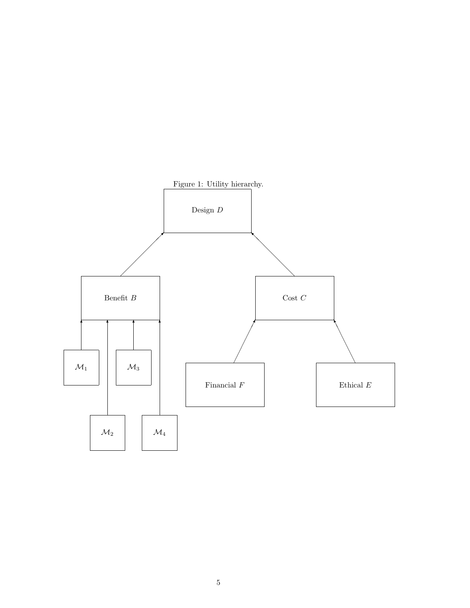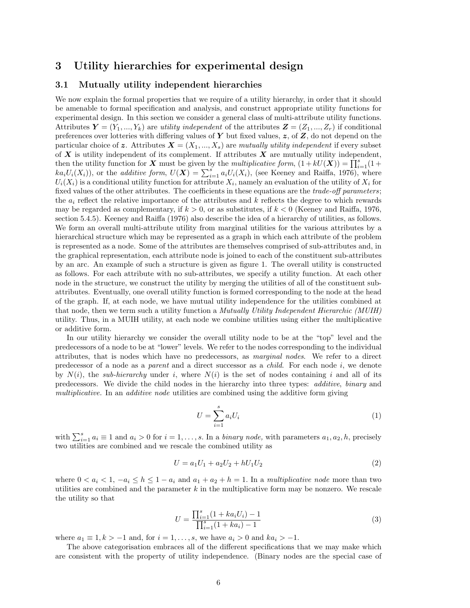### 3 Utility hierarchies for experimental design

#### 3.1 Mutually utility independent hierarchies

We now explain the formal properties that we require of a utility hierarchy, in order that it should be amenable to formal specification and analysis, and construct appropriate utility functions for experimental design. In this section we consider a general class of multi-attribute utility functions. Attributes  $\mathbf{Y} = (Y_1, ..., Y_k)$  are utility independent of the attributes  $\mathbf{Z} = (Z_1, ..., Z_r)$  if conditional preferences over lotteries with differing values of  $Y$  but fixed values,  $z$ , of  $Z$ , do not depend on the particular choice of z. Attributes  $\mathbf{X} = (X_1, ..., X_s)$  are mutually utility independent if every subset of  $X$  is utility independent of its complement. If attributes  $X$  are mutually utility independent, then the utility function for X must be given by the *multiplicative form*,  $(1 + kU(X)) = \prod_{i=1}^{s} (1 +$  $ka_iU_i(X_i)$ , or the *additive form*,  $U(\boldsymbol{X}) = \sum_{i=1}^s a_iU_i(X_i)$ , (see Keeney and Raiffa, 1976), where  $U_i(X_i)$  is a conditional utility function for attribute  $X_i$ , namely an evaluation of the utility of  $X_i$  for fixed values of the other attributes. The coefficients in these equations are the *trade-off parameters*; the  $a_i$  reflect the relative importance of the attributes and k reflects the degree to which rewards may be regarded as complementary, if  $k > 0$ , or as substitutes, if  $k < 0$  (Keeney and Raiffa, 1976, section 5.4.5). Keeney and Raiffa (1976) also describe the idea of a hierarchy of utilities, as follows. We form an overall multi-attribute utility from marginal utilities for the various attributes by a hierarchical structure which may be represented as a graph in which each attribute of the problem is represented as a node. Some of the attributes are themselves comprised of sub-attributes and, in the graphical representation, each attribute node is joined to each of the constituent sub-attributes by an arc. An example of such a structure is given as figure 1. The overall utility is constructed as follows. For each attribute with no sub-attributes, we specify a utility function. At each other node in the structure, we construct the utility by merging the utilities of all of the constituent subattributes. Eventually, one overall utility function is formed corresponding to the node at the head of the graph. If, at each node, we have mutual utility independence for the utilities combined at that node, then we term such a utility function a *Mutually Utility Independent Hierarchic (MUIH)* utility. Thus, in a MUIH utility, at each node we combine utilities using either the multiplicative or additive form.

In our utility hierarchy we consider the overall utility node to be at the "top" level and the predecessors of a node to be at "lower" levels. We refer to the nodes corresponding to the individual attributes, that is nodes which have no predecessors, as marginal nodes. We refer to a direct predecessor of a node as a parent and a direct successor as a child. For each node i, we denote by  $N(i)$ , the sub-hierarchy under i, where  $N(i)$  is the set of nodes containing i and all of its predecessors. We divide the child nodes in the hierarchy into three types: additive, binary and multiplicative. In an *additive node* utilities are combined using the additive form giving

$$
U = \sum_{i=1}^{s} a_i U_i \tag{1}
$$

with  $\sum_{i=1}^{s} a_i \equiv 1$  and  $a_i > 0$  for  $i = 1, \ldots, s$ . In a *binary node*, with parameters  $a_1, a_2, h$ , precisely two utilities are combined and we rescale the combined utility as

$$
U = a_1 U_1 + a_2 U_2 + hU_1 U_2 \tag{2}
$$

where  $0 < a_i < 1, -a_i \leq h \leq 1 - a_i$  and  $a_1 + a_2 + h = 1$ . In a multiplicative node more than two utilities are combined and the parameter  $k$  in the multiplicative form may be nonzero. We rescale the utility so that

$$
U = \frac{\prod_{i=1}^{s} (1 + ka_i U_i) - 1}{\prod_{i=1}^{s} (1 + ka_i) - 1}
$$
\n(3)

where  $a_1 \equiv 1, k > -1$  and, for  $i = 1, ..., s$ , we have  $a_i > 0$  and  $ka_i > -1$ .

The above categorisation embraces all of the different specifications that we may make which are consistent with the property of utility independence. (Binary nodes are the special case of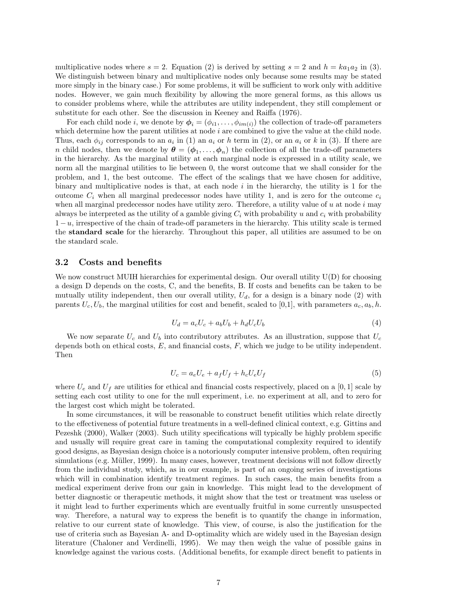multiplicative nodes where  $s = 2$ . Equation (2) is derived by setting  $s = 2$  and  $h = ka_1a_2$  in (3). We distinguish between binary and multiplicative nodes only because some results may be stated more simply in the binary case.) For some problems, it will be sufficient to work only with additive nodes. However, we gain much flexibility by allowing the more general forms, as this allows us to consider problems where, while the attributes are utility independent, they still complement or substitute for each other. See the discussion in Keeney and Raiffa (1976).

For each child node i, we denote by  $\phi_i = (\phi_{i1}, \dots, \phi_{im(i)})$  the collection of trade-off parameters which determine how the parent utilities at node  $i$  are combined to give the value at the child node. Thus, each  $\phi_{ij}$  corresponds to an  $a_i$  in (1) an  $a_i$  or h term in (2), or an  $a_i$  or k in (3). If there are *n* child nodes, then we denote by  $\boldsymbol{\theta} = (\phi_1, \dots, \phi_n)$  the collection of all the trade-off parameters in the hierarchy. As the marginal utility at each marginal node is expressed in a utility scale, we norm all the marginal utilities to lie between 0, the worst outcome that we shall consider for the problem, and 1, the best outcome. The effect of the scalings that we have chosen for additive, binary and multiplicative nodes is that, at each node  $i$  in the hierarchy, the utility is 1 for the outcome  $C_i$  when all marginal predecessor nodes have utility 1, and is zero for the outcome  $c_i$ when all marginal predecessor nodes have utility zero. Therefore, a utility value of  $u$  at node  $i$  may always be interpreted as the utility of a gamble giving  $C_i$  with probability u and  $c_i$  with probability  $1-u$ , irrespective of the chain of trade-off parameters in the hierarchy. This utility scale is termed the standard scale for the hierarchy. Throughout this paper, all utilities are assumed to be on the standard scale.

#### 3.2 Costs and benefits

We now construct MUIH hierarchies for experimental design. Our overall utility  $U(D)$  for choosing a design D depends on the costs, C, and the benefits, B. If costs and benefits can be taken to be mutually utility independent, then our overall utility,  $U_d$ , for a design is a binary node (2) with parents  $U_c, U_b$ , the marginal utilities for cost and benefit, scaled to [0,1], with parameters  $a_c, a_b, h$ .

$$
U_d = a_c U_c + a_b U_b + h_d U_c U_b \tag{4}
$$

We now separate  $U_c$  and  $U_b$  into contributory attributes. As an illustration, suppose that  $U_c$ depends both on ethical costs,  $E$ , and financial costs,  $F$ , which we judge to be utility independent. Then

$$
U_c = a_e U_e + a_f U_f + h_c U_e U_f \tag{5}
$$

where  $U_e$  and  $U_f$  are utilities for ethical and financial costs respectively, placed on a [0, 1] scale by setting each cost utility to one for the null experiment, i.e. no experiment at all, and to zero for the largest cost which might be tolerated.

In some circumstances, it will be reasonable to construct benefit utilities which relate directly to the effectiveness of potential future treatments in a well-defined clinical context, e.g. Gittins and Pezeshk (2000), Walker (2003). Such utility specifications will typically be highly problem specific and usually will require great care in taming the computational complexity required to identify good designs, as Bayesian design choice is a notoriously computer intensive problem, often requiring simulations (e.g. Müller, 1999). In many cases, however, treatment decisions will not follow directly from the individual study, which, as in our example, is part of an ongoing series of investigations which will in combination identify treatment regimes. In such cases, the main benefits from a medical experiment derive from our gain in knowledge. This might lead to the development of better diagnostic or therapeutic methods, it might show that the test or treatment was useless or it might lead to further experiments which are eventually fruitful in some currently unsuspected way. Therefore, a natural way to express the benefit is to quantify the change in information, relative to our current state of knowledge. This view, of course, is also the justification for the use of criteria such as Bayesian A- and D-optimality which are widely used in the Bayesian design literature (Chaloner and Verdinelli, 1995). We may then weigh the value of possible gains in knowledge against the various costs. (Additional benefits, for example direct benefit to patients in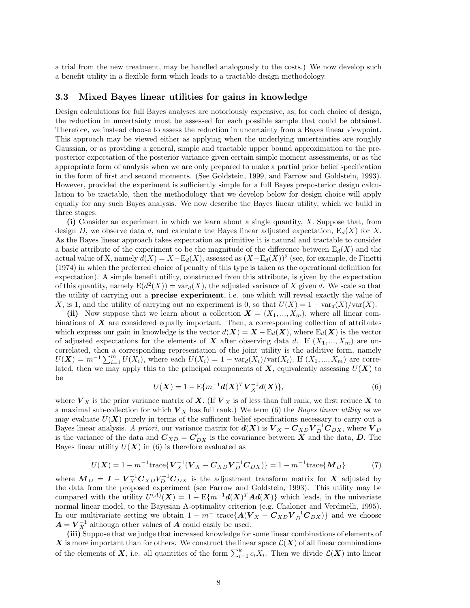a trial from the new treatment, may be handled analogously to the costs.) We now develop such a benefit utility in a flexible form which leads to a tractable design methodology.

#### 3.3 Mixed Bayes linear utilities for gains in knowledge

Design calculations for full Bayes analyses are notoriously expensive, as, for each choice of design, the reduction in uncertainty must be assessed for each possible sample that could be obtained. Therefore, we instead choose to assess the reduction in uncertainty from a Bayes linear viewpoint. This approach may be viewed either as applying when the underlying uncertainties are roughly Gaussian, or as providing a general, simple and tractable upper bound approximation to the preposterior expectation of the posterior variance given certain simple moment assessments, or as the appropriate form of analysis when we are only prepared to make a partial prior belief specification in the form of first and second moments. (See Goldstein, 1999, and Farrow and Goldstein, 1993). However, provided the experiment is sufficiently simple for a full Bayes preposterior design calculation to be tractable, then the methodology that we develop below for design choice will apply equally for any such Bayes analysis. We now describe the Bayes linear utility, which we build in three stages.

(i) Consider an experiment in which we learn about a single quantity,  $X$ . Suppose that, from design D, we observe data d, and calculate the Bayes linear adjusted expectation,  $E_d(X)$  for X. As the Bayes linear approach takes expectation as primitive it is natural and tractable to consider a basic attribute of the experiment to be the magnitude of the difference between  $E_d(X)$  and the actual value of X, namely  $d(X) = X - \mathbb{E}_d(X)$ , assessed as  $(X - \mathbb{E}_d(X))^2$  (see, for example, de Finetti (1974) in which the preferred choice of penalty of this type is taken as the operational definition for expectation). A simple benefit utility, constructed from this attribute, is given by the expectation of this quantity, namely  $E(d^2(X)) = \text{var}_d(X)$ , the adjusted variance of X given d. We scale so that the utility of carrying out a precise experiment, i.e. one which will reveal exactly the value of X, is 1, and the utility of carrying out no experiment is 0, so that  $U(X) = 1 - \text{var}_d(X)/\text{var}(X)$ .

(ii) Now suppose that we learn about a collection  $\mathbf{X} = (X_1, ..., X_m)$ , where all linear combinations of  $X$  are considered equally important. Then, a corresponding collection of attributes which express our gain in knowledge is the vector  $d(\mathbf{X}) = \mathbf{X} - \mathrm{E}_d(\mathbf{X})$ , where  $\mathrm{E}_d(\mathbf{X})$  is the vector of adjusted expectations for the elements of X after observing data d. If  $(X_1, ..., X_m)$  are uncorrelated, then a corresponding representation of the joint utility is the additive form, namely  $U(\boldsymbol{X}) = m^{-1} \sum_{i=1}^{m} U(X_i)$ , where each  $U(X_i) = 1 - \text{var}_d(X_i) / \text{var}(X_i)$ . If  $(X_1, ..., X_m)$  are correlated, then we may apply this to the principal components of  $X$ , equivalently assessing  $U(X)$  to be

$$
U(X) = 1 - \mathbb{E}\{m^{-1}d(X)^T V_X^{-1}d(X)\},\tag{6}
$$

where  $V_X$  is the prior variance matrix of  $X$ . (If  $V_X$  is of less than full rank, we first reduce X to a maximal sub-collection for which  $V_X$  has full rank.) We term (6) the *Bayes linear utility* as we may evaluate  $U(X)$  purely in terms of the sufficient belief specifications necessary to carry out a Bayes linear analysis. A priori, our variance matrix for  $d(X)$  is  $V_X - C_{XD} V_D^{-1} C_{DX}$ , where  $V_D$ is the variance of the data and  $C_{XD} = C'_{DX}$  is the covariance between X and the data, D. The Bayes linear utility  $U(X)$  in (6) is therefore evaluated as

$$
U(\mathbf{X}) = 1 - m^{-1} \text{trace} \{ \mathbf{V}_X^{-1} (\mathbf{V}_X - \mathbf{C}_{XD} \mathbf{V}_D^{-1} \mathbf{C}_{DX}) \} = 1 - m^{-1} \text{trace} \{ \mathbf{M}_D \}
$$
(7)

where  $M_D = I - V_X^{-1} C_{XD} V_D^{-1} C_{DX}$  is the adjustment transform matrix for X adjusted by the data from the proposed experiment (see Farrow and Goldstein, 1993). This utility may be compared with the utility  $U^{(A)}(X) = 1 - \mathbb{E}\{m^{-1}d(X)^T Ad(X)\}\$  which leads, in the univariate normal linear model, to the Bayesian A-optimality criterion (e.g. Chaloner and Verdinelli, 1995). In our multivariate setting we obtain  $1 - m^{-1}$ trace $\{A(V_X - C_{XD}V_D^{-1}C_{DX})\}$  and we choose  $A = V_X^{-1}$  although other values of A could easily be used.

(iii) Suppose that we judge that increased knowledge for some linear combinations of elements of X is more important than for others. We construct the linear space  $\mathcal{L}(X)$  of all linear combinations of the elements of X, i.e. all quantities of the form  $\sum_{i=1}^{k} c_i X_i$ . Then we divide  $\mathcal{L}(X)$  into linear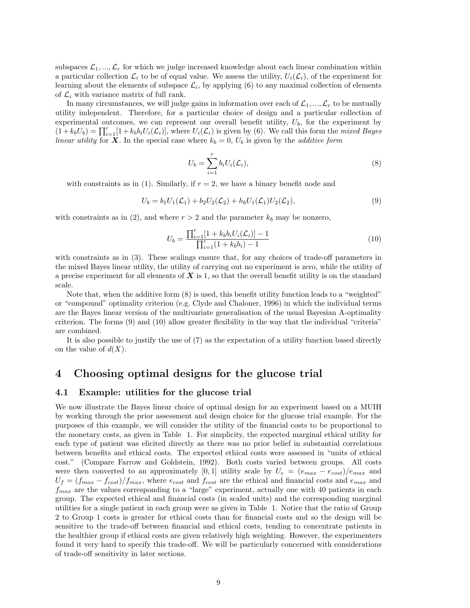subspaces  $\mathcal{L}_1, ..., \mathcal{L}_r$  for which we judge increased knowledge about each linear combination within a particular collection  $\mathcal{L}_i$  to be of equal value. We assess the utility,  $U_i(\mathcal{L}_i)$ , of the experiment for learning about the elements of subspace  $\mathcal{L}_i$ , by applying (6) to any maximal collection of elements of  $\mathcal{L}_i$  with variance matrix of full rank.

In many circumstances, we will judge gains in information over each of  $\mathcal{L}_1, ..., \mathcal{L}_r$  to be mutually utility independent. Therefore, for a particular choice of design and a particular collection of experimental outcomes, we can represent our overall benefit utility,  $U_b$ , for the experiment by  $(1 + k_b U_b) = \prod_{i=1}^r [1 + k_b b_i U_i(\mathcal{L}_i)]$ , where  $U_i(\mathcal{L}_i)$  is given by (6). We call this form the *mixed Bayes* linear utility for X. In the special case where  $k_b = 0, U_b$  is given by the *additive form* 

$$
U_b = \sum_{i=1}^r b_i U_i(\mathcal{L}_i),\tag{8}
$$

with constraints as in (1). Similarly, if  $r = 2$ , we have a binary benefit node and

$$
U_b = b_1 U_1(\mathcal{L}_1) + b_2 U_2(\mathcal{L}_2) + h_b U_1(\mathcal{L}_1) U_2(\mathcal{L}_2),
$$
\n(9)

with constraints as in (2), and where  $r > 2$  and the parameter  $k_b$  may be nonzero,

$$
U_b = \frac{\prod_{i=1}^r [1 + k_b b_i U_i(\mathcal{L}_i)] - 1}{\prod_{i=1}^r (1 + k_b b_i) - 1}
$$
\n(10)

with constraints as in  $(3)$ . These scalings ensure that, for any choices of trade-off parameters in the mixed Bayes linear utility, the utility of carrying out no experiment is zero, while the utility of a precise experiment for all elements of  $\boldsymbol{X}$  is 1, so that the overall benefit utility is on the standard scale.

Note that, when the additive form (8) is used, this benefit utility function leads to a "weighted" or "compound" optimality criterion (e.g. Clyde and Chaloner, 1996) in which the individual terms are the Bayes linear version of the multivariate generalisation of the usual Bayesian A-optimality criterion. The forms (9) and (10) allow greater flexibility in the way that the individual "criteria" are combined.

It is also possible to justify the use of (7) as the expectation of a utility function based directly on the value of  $d(X)$ .

### 4 Choosing optimal designs for the glucose trial

#### 4.1 Example: utilities for the glucose trial

We now illustrate the Bayes linear choice of optimal design for an experiment based on a MUIH by working through the prior assessment and design choice for the glucose trial example. For the purposes of this example, we will consider the utility of the financial costs to be proportional to the monetary costs, as given in Table 1. For simplicity, the expected marginal ethical utility for each type of patient was elicited directly as there was no prior belief in substantial correlations between benefits and ethical costs. The expected ethical costs were assessed in "units of ethical cost." (Compare Farrow and Goldstein, 1992). Both costs varied between groups. All costs were then converted to an approximately [0, 1] utility scale by  $U_e = (e_{max} - e_{cost})/e_{max}$  and  $U_f = (f_{max} - f_{cost})/f_{max}$ , where  $e_{cost}$  and  $f_{cost}$  are the ethical and financial costs and  $e_{max}$  and  $f_{max}$  are the values corresponding to a "large" experiment, actually one with 40 patients in each group. The expected ethical and financial costs (in scaled units) and the corresponding marginal utilities for a single patient in each group were as given in Table 1. Notice that the ratio of Group 2 to Group 1 costs is greater for ethical costs than for financial costs and so the design will be sensitive to the trade-off between financial and ethical costs, tending to concentrate patients in the healthier group if ethical costs are given relatively high weighting. However, the experimenters found it very hard to specify this trade-off. We will be particularly concerned with considerations of trade-off sensitivity in later sections.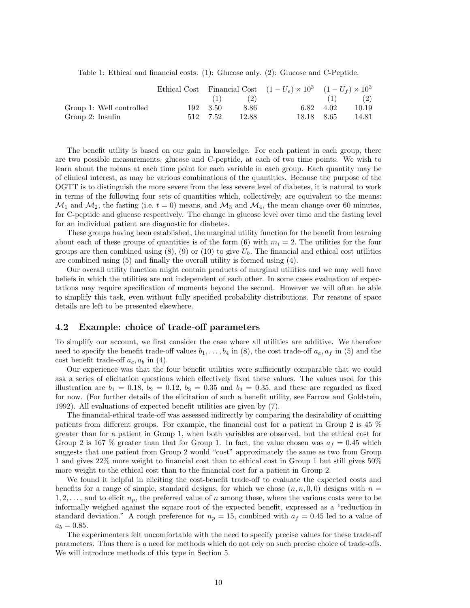Table 1: Ethical and financial costs. (1): Glucose only. (2): Glucose and C-Peptide.

|                          | Ethical Cost Financial Cost $(1-U_e) \times 10^3$ $(1-U_f) \times 10^3$ |         |            |           |       |
|--------------------------|-------------------------------------------------------------------------|---------|------------|-----------|-------|
|                          |                                                                         | (2)     |            | (1)       | (2)   |
| Group 1: Well controlled | 192 3.50                                                                | 8.86    |            | 6.82 4.02 | 10.19 |
| Group 2: Insulin         | 512 7.52                                                                | - 12.88 | 18.18 8.65 |           | 14.81 |

The benefit utility is based on our gain in knowledge. For each patient in each group, there are two possible measurements, glucose and C-peptide, at each of two time points. We wish to learn about the means at each time point for each variable in each group. Each quantity may be of clinical interest, as may be various combinations of the quantities. Because the purpose of the OGTT is to distinguish the more severe from the less severe level of diabetes, it is natural to work in terms of the following four sets of quantities which, collectively, are equivalent to the means:  $\mathcal{M}_1$  and  $\mathcal{M}_2$ , the fasting (i.e.  $t = 0$ ) means, and  $\mathcal{M}_3$  and  $\mathcal{M}_4$ , the mean change over 60 minutes, for C-peptide and glucose respectively. The change in glucose level over time and the fasting level for an individual patient are diagnostic for diabetes.

These groups having been established, the marginal utility function for the benefit from learning about each of these groups of quantities is of the form (6) with  $m_i = 2$ . The utilities for the four groups are then combined using  $(8)$ ,  $(9)$  or  $(10)$  to give  $U_b$ . The financial and ethical cost utilities are combined using (5) and finally the overall utility is formed using (4).

Our overall utility function might contain products of marginal utilities and we may well have beliefs in which the utilities are not independent of each other. In some cases evaluation of expectations may require specification of moments beyond the second. However we will often be able to simplify this task, even without fully specified probability distributions. For reasons of space details are left to be presented elsewhere.

#### 4.2 Example: choice of trade-off parameters

To simplify our account, we first consider the case where all utilities are additive. We therefore need to specify the benefit trade-off values  $b_1, \ldots, b_4$  in (8), the cost trade-off  $a_e, a_f$  in (5) and the cost benefit trade-off  $a_c, a_b$  in (4).

Our experience was that the four benefit utilities were sufficiently comparable that we could ask a series of elicitation questions which effectively fixed these values. The values used for this illustration are  $b_1 = 0.18$ ,  $b_2 = 0.12$ ,  $b_3 = 0.35$  and  $b_4 = 0.35$ , and these are regarded as fixed for now. (For further details of the elicitation of such a benefit utility, see Farrow and Goldstein, 1992). All evaluations of expected benefit utilities are given by (7).

The financial-ethical trade-off was assessed indirectly by comparing the desirability of omitting patients from different groups. For example, the financial cost for a patient in Group 2 is 45 % greater than for a patient in Group 1, when both variables are observed, but the ethical cost for Group 2 is 167 % greater than that for Group 1. In fact, the value chosen was  $a_f = 0.45$  which suggests that one patient from Group 2 would "cost" approximately the same as two from Group 1 and gives 22% more weight to financial cost than to ethical cost in Group 1 but still gives 50% more weight to the ethical cost than to the financial cost for a patient in Group 2.

We found it helpful in eliciting the cost-benefit trade-off to evaluate the expected costs and benefits for a range of simple, standard designs, for which we chose  $(n, n, 0, 0)$  designs with  $n =$  $1, 2, \ldots$ , and to elicit  $n_p$ , the preferred value of n among these, where the various costs were to be informally weighed against the square root of the expected benefit, expressed as a "reduction in standard deviation." A rough preference for  $n_p = 15$ , combined with  $a_f = 0.45$  led to a value of  $a_b = 0.85$ .

The experimenters felt uncomfortable with the need to specify precise values for these trade-off parameters. Thus there is a need for methods which do not rely on such precise choice of trade-offs. We will introduce methods of this type in Section 5.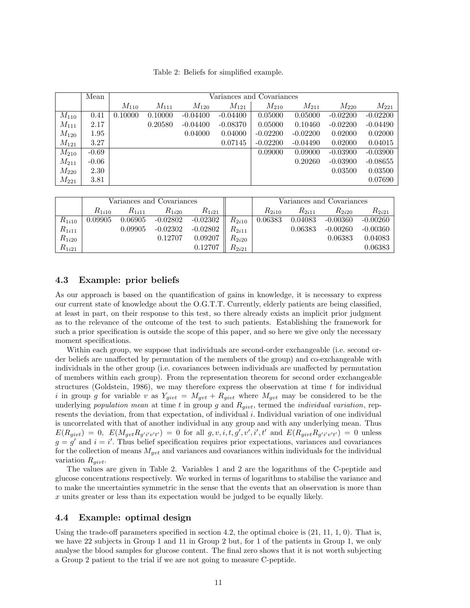|  |  |  | Table 2: Beliefs for simplified example. |  |
|--|--|--|------------------------------------------|--|
|--|--|--|------------------------------------------|--|

|           | Mean    |           | Variances and Covariances |            |            |            |            |            |            |  |  |  |  |
|-----------|---------|-----------|---------------------------|------------|------------|------------|------------|------------|------------|--|--|--|--|
|           |         | $M_{110}$ | $M_{111}$                 | $M_{120}$  | $M_{121}$  | $M_{210}$  | $M_{211}$  | $M_{220}$  | $M_{221}$  |  |  |  |  |
| $M_{110}$ | 0.41    | 0.10000   | 0.10000                   | $-0.04400$ | $-0.04400$ | 0.05000    | 0.05000    | $-0.02200$ | $-0.02200$ |  |  |  |  |
| $M_{111}$ | 2.17    |           | 0.20580                   | $-0.04400$ | $-0.08370$ | 0.05000    | 0.10460    | $-0.02200$ | $-0.04490$ |  |  |  |  |
| $M_{120}$ | 1.95    |           |                           | 0.04000    | 0.04000    | $-0.02200$ | $-0.02200$ | 0.02000    | 0.02000    |  |  |  |  |
| $M_{121}$ | 3.27    |           |                           |            | 0.07145    | $-0.02200$ | $-0.04490$ | 0.02000    | 0.04015    |  |  |  |  |
| $M_{210}$ | $-0.69$ |           |                           |            |            | 0.09000    | 0.09000    | $-0.03900$ | $-0.03900$ |  |  |  |  |
| $M_{211}$ | $-0.06$ |           |                           |            |            |            | 0.20260    | $-0.03900$ | $-0.08655$ |  |  |  |  |
| $M_{220}$ | 2.30    |           |                           |            |            |            |            | 0.03500    | 0.03500    |  |  |  |  |
| $M_{221}$ | 3.81    |           |                           |            |            |            |            |            | 0.07690    |  |  |  |  |

|            |            |            | Variances and Covariances |            |            | Variances and Covariances |            |            |            |  |
|------------|------------|------------|---------------------------|------------|------------|---------------------------|------------|------------|------------|--|
|            | $R_{1i10}$ | $R_{1i11}$ | $R_{1i20}$                | $R_{1i21}$ |            | $R_{2i10}$                | $R_{2i11}$ | $R_{2i20}$ | $R_{2i21}$ |  |
| $R_{1i10}$ | 0.09905    | 0.06905    | $-0.02802$                | $-0.02302$ | $R_{2i10}$ | 0.06383                   | 0.04083    | $-0.00360$ | $-0.00260$ |  |
| $R_{1i11}$ |            | 0.09905    | $-0.02302$                | $-0.02802$ | $R_{2i11}$ |                           | 0.06383    | $-0.00260$ | $-0.00360$ |  |
| $R_{1i20}$ |            |            | 0.12707                   | 0.09207    | $R_{2i20}$ |                           |            | 0.06383    | 0.04083    |  |
| $R_{1i21}$ |            |            |                           | 0.12707    | $R_{2i21}$ |                           |            |            | 0.06383    |  |

#### 4.3 Example: prior beliefs

As our approach is based on the quantification of gains in knowledge, it is necessary to express our current state of knowledge about the O.G.T.T. Currently, elderly patients are being classified, at least in part, on their response to this test, so there already exists an implicit prior judgment as to the relevance of the outcome of the test to such patients. Establishing the framework for such a prior specification is outside the scope of this paper, and so here we give only the necessary moment specifications.

Within each group, we suppose that individuals are second-order exchangeable (i.e. second order beliefs are unaffected by permutation of the members of the group) and co-exchangeable with individuals in the other group (i.e. covariances between individuals are unaffected by permutation of members within each group). From the representation theorem for second order exchangeable structures (Goldstein, 1986), we may therefore express the observation at time  $t$  for individual i in group g for variable v as  $Y_{givt} = M_{gvt} + R_{givt}$  where  $M_{gvt}$  may be considered to be the underlying population mean at time t in group g and  $R_{givt}$ , termed the *individual variation*, represents the deviation, from that expectation, of individual  $i$ . Individual variation of one individual is uncorrelated with that of another individual in any group and with any underlying mean. Thus  $E(R_{givt}) = 0, E(M_{gvt}R_{g'i'v't'}) = 0$  for all  $g, v, i, t, g', v', i', t'$  and  $E(R_{givt}R_{g'i'v't'}) = 0$  unless  $g = g'$  and  $i = i'$ . Thus belief specification requires prior expectations, variances and covariances for the collection of means  $M_{gvt}$  and variances and covariances within individuals for the individual variation  $R_{qivt}$ .

The values are given in Table 2. Variables 1 and 2 are the logarithms of the C-peptide and glucose concentrations respectively. We worked in terms of logarithms to stabilise the variance and to make the uncertainties symmetric in the sense that the events that an observation is more than x units greater or less than its expectation would be judged to be equally likely.

#### 4.4 Example: optimal design

Using the trade-off parameters specified in section 4.2, the optimal choice is  $(21, 11, 1, 0)$ . That is, we have 22 subjects in Group 1 and 11 in Group 2 but, for 1 of the patients in Group 1, we only analyse the blood samples for glucose content. The final zero shows that it is not worth subjecting a Group 2 patient to the trial if we are not going to measure C-peptide.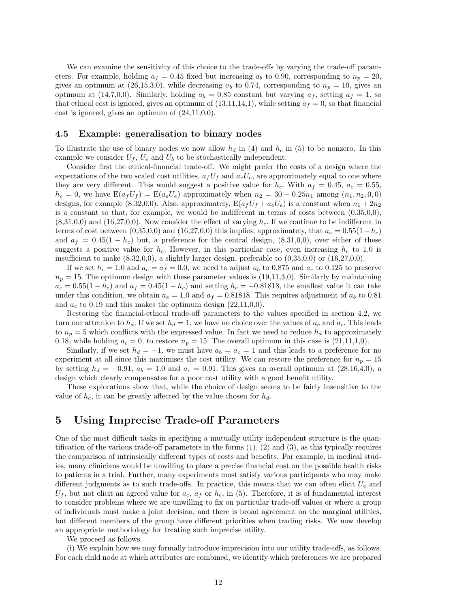We can examine the sensitivity of this choice to the trade-offs by varying the trade-off parameters. For example, holding  $a_f = 0.45$  fixed but increasing  $a_b$  to 0.90, corresponding to  $n_p = 20$ , gives an optimum at  $(26,15,3,0)$ , while decreasing  $a<sub>b</sub>$  to 0.74, corresponding to  $n<sub>p</sub> = 10$ , gives an optimum at (14,7,0,0). Similarly, holding  $a_b = 0.85$  constant but varying  $a_f$ , setting  $a_f = 1$ , so that ethical cost is ignored, gives an optimum of  $(13,11,14,1)$ , while setting  $a_f = 0$ , so that financial cost is ignored, gives an optimum of  $(24,11,0,0)$ .

#### 4.5 Example: generalisation to binary nodes

To illustrate the use of binary nodes we now allow  $h_d$  in (4) and  $h_c$  in (5) to be nonzero. In this example we consider  $U_f$ ,  $U_e$  and  $U_b$  to be stochastically independent.

Consider first the ethical-financial trade-off. We might prefer the costs of a design where the expectations of the two scaled cost utilities,  $a_f U_f$  and  $a_e U_e$ , are approximately equal to one where they are very different. This would suggest a positive value for  $h_c$ . With  $a_f = 0.45$ ,  $a_e = 0.55$ ,  $h_c = 0$ , we have  $E(a_f U_f) = E(a_e U_e)$  approximately when  $n_2 = 30 + 0.25n_1$  among  $(n_1, n_2, 0, 0)$ designs, for example (8,32,0,0). Also, approximately,  $E(a_f U_f + a_e U_e)$  is a constant when  $n_1 + 2n_2$ is a constant so that, for example, we would be indifferent in terms of costs between  $(0,35,0,0)$ ,  $(8,31,0,0)$  and  $(16,27,0,0)$ . Now consider the effect of varying  $h_c$ . If we continue to be indifferent in terms of cost between  $(0,35,0,0)$  and  $(16,27,0,0)$  this implies, approximately, that  $a_e = 0.55(1-h_c)$ and  $a_f = 0.45(1 - h_c)$  but, a preference for the central design,  $(8,31,0,0)$ , over either of these suggests a positive value for  $h_c$ . However, in this particular case, even increasing  $h_c$  to 1.0 is insufficient to make  $(8,32,0,0)$ , a slightly larger design, preferable to  $(0,35,0,0)$  or  $(16,27,0,0)$ .

If we set  $h_c = 1.0$  and  $a_e = a_f = 0.0$ , we need to adjust  $a_b$  to 0.875 and  $a_c$  to 0.125 to preserve  $n_p = 15$ . The optimum design with these parameter values is  $(19,11,3,0)$ . Similarly by maintaining  $a_e = 0.55(1 - h_c)$  and  $a_f = 0.45(1 - h_c)$  and setting  $h_c = -0.81818$ , the smallest value it can take under this condition, we obtain  $a_e = 1.0$  and  $a_f = 0.81818$ . This requires adjustment of  $a_b$  to 0.81 and  $a_c$  to 0.19 and this makes the optimum design  $(22,11,0,0)$ .

Restoring the financial-ethical trade-off parameters to the values specified in section 4.2, we turn our attention to  $h_d$ . If we set  $h_d = 1$ , we have no choice over the values of  $a_b$  and  $a_c$ . This leads to  $n_p = 5$  which conflicts with the expressed value. In fact we need to reduce  $h_d$  to approximately 0.18, while holding  $a_c = 0$ , to restore  $n_p = 15$ . The overall optimum in this case is (21,11,1,0).

Similarly, if we set  $h_d = -1$ , we must have  $a_b = a_c = 1$  and this leads to a preference for no experiment at all since this maximises the cost utility. We can restore the preference for  $n_p = 15$ by setting  $h_d = -0.91$ ,  $a_b = 1.0$  and  $a_c = 0.91$ . This gives an overall optimum at  $(28,16,4,0)$ , a design which clearly compensates for a poor cost utility with a good benefit utility.

These explorations show that, while the choice of design seems to be fairly insensitive to the value of  $h_c$ , it can be greatly affected by the value chosen for  $h_d$ .

### 5 Using Imprecise Trade-off Parameters

One of the most difficult tasks in specifying a mutually utility independent structure is the quantification of the various trade-off parameters in the forms  $(1)$ ,  $(2)$  and  $(3)$ , as this typically requires the comparison of intrinsically different types of costs and benefits. For example, in medical studies, many clinicians would be unwilling to place a precise financial cost on the possible health risks to patients in a trial. Further, many experiments must satisfy various participants who may make different judgments as to such trade-offs. In practice, this means that we can often elicit  $U_e$  and  $U_f$ , but not elicit an agreed value for  $a_e$ ,  $a_f$  or  $h_c$ , in (5). Therefore, it is of fundamental interest to consider problems where we are unwilling to fix on particular trade-off values or where a group of individuals must make a joint decision, and there is broad agreement on the marginal utilities, but different members of the group have different priorities when trading risks. We now develop an appropriate methodology for treating such imprecise utility.

We proceed as follows.

(i) We explain how we may formally introduce imprecision into our utility trade-offs, as follows. For each child node at which attributes are combined, we identify which preferences we are prepared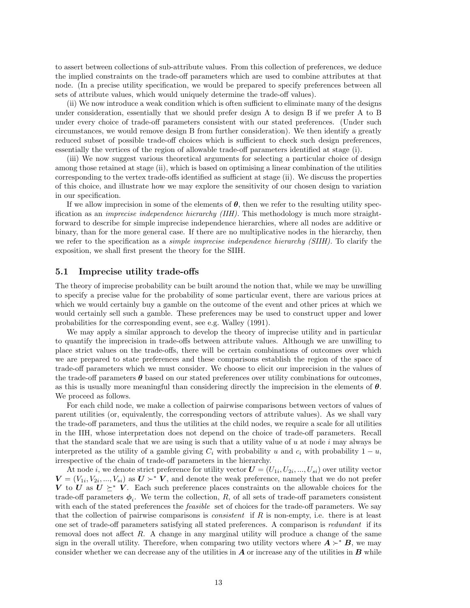to assert between collections of sub-attribute values. From this collection of preferences, we deduce the implied constraints on the trade-off parameters which are used to combine attributes at that node. (In a precise utility specification, we would be prepared to specify preferences between all sets of attribute values, which would uniquely determine the trade-off values).

(ii) We now introduce a weak condition which is often sufficient to eliminate many of the designs under consideration, essentially that we should prefer design A to design B if we prefer A to B under every choice of trade-off parameters consistent with our stated preferences. (Under such circumstances, we would remove design B from further consideration). We then identify a greatly reduced subset of possible trade-off choices which is sufficient to check such design preferences, essentially the vertices of the region of allowable trade-off parameters identified at stage (i).

(iii) We now suggest various theoretical arguments for selecting a particular choice of design among those retained at stage (ii), which is based on optimising a linear combination of the utilities corresponding to the vertex trade-offs identified as sufficient at stage (ii). We discuss the properties of this choice, and illustrate how we may explore the sensitivity of our chosen design to variation in our specification.

If we allow imprecision in some of the elements of  $\theta$ , then we refer to the resulting utility specification as an *imprecise independence hierarchy (IIH)*. This methodology is much more straightforward to describe for simple imprecise independence hierarchies, where all nodes are additive or binary, than for the more general case. If there are no multiplicative nodes in the hierarchy, then we refer to the specification as a *simple imprecise independence hierarchy (SIIH)*. To clarify the exposition, we shall first present the theory for the SIIH.

#### 5.1 Imprecise utility trade-offs

The theory of imprecise probability can be built around the notion that, while we may be unwilling to specify a precise value for the probability of some particular event, there are various prices at which we would certainly buy a gamble on the outcome of the event and other prices at which we would certainly sell such a gamble. These preferences may be used to construct upper and lower probabilities for the corresponding event, see e.g. Walley (1991).

We may apply a similar approach to develop the theory of imprecise utility and in particular to quantify the imprecision in trade-offs between attribute values. Although we are unwilling to place strict values on the trade-offs, there will be certain combinations of outcomes over which we are prepared to state preferences and these comparisons establish the region of the space of trade-off parameters which we must consider. We choose to elicit our imprecision in the values of the trade-off parameters  $\theta$  based on our stated preferences over utility combinations for outcomes, as this is usually more meaningful than considering directly the imprecision in the elements of  $\theta$ . We proceed as follows.

For each child node, we make a collection of pairwise comparisons between vectors of values of parent utilities (or, equivalently, the corresponding vectors of attribute values). As we shall vary the trade-off parameters, and thus the utilities at the child nodes, we require a scale for all utilities in the IIH, whose interpretation does not depend on the choice of trade-off parameters. Recall that the standard scale that we are using is such that a utility value of  $u$  at node  $i$  may always be interpreted as the utility of a gamble giving  $C_i$  with probability u and  $c_i$  with probability  $1 - u$ , irrespective of the chain of trade-off parameters in the hierarchy.

At node *i*, we denote strict preference for utility vector  $\boldsymbol{U} = (U_{1i}, U_{2i}, ..., U_{si})$  over utility vector  $\mathbf{V} = (V_{1i}, V_{2i}, ..., V_{si})$  as  $\mathbf{U} \succ^* \mathbf{V}$ , and denote the weak preference, namely that we do not prefer V to U as  $U \succeq^* V$ . Each such preference places constraints on the allowable choices for the trade-off parameters  $\phi_i$ . We term the collection, R, of all sets of trade-off parameters consistent with each of the stated preferences the *feasible* set of choices for the trade-off parameters. We say that the collection of pairwise comparisons is consistent if R is non-empty, i.e. there is at least one set of trade-off parameters satisfying all stated preferences. A comparison is redundant if its removal does not affect R. A change in any marginal utility will produce a change of the same sign in the overall utility. Therefore, when comparing two utility vectors where  $A \succ^* B$ , we may consider whether we can decrease any of the utilities in  $\boldsymbol{A}$  or increase any of the utilities in  $\boldsymbol{B}$  while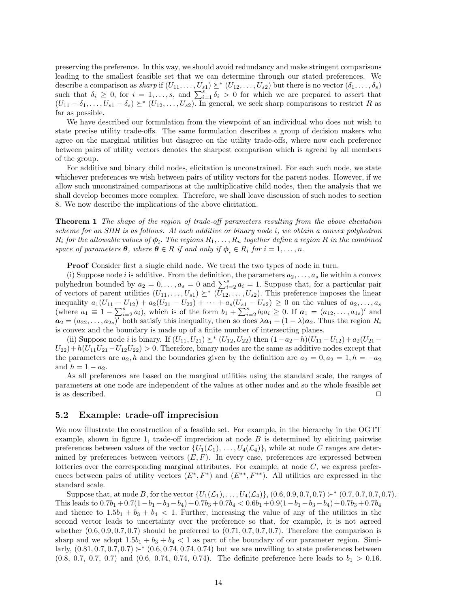preserving the preference. In this way, we should avoid redundancy and make stringent comparisons leading to the smallest feasible set that we can determine through our stated preferences. We describe a comparison as sharp if  $(U_{11},...,U_{s1}) \succeq^* (U_{12},...,U_{s2})$  but there is no vector  $(\delta_1,...,\delta_s)$ such that  $\delta_i \geq 0$ , for  $i = 1, \ldots, s$ , and  $\sum_{i=1}^s \delta_i > 0$  for which we are prepared to assert that  $(U_{11}-\delta_1,\ldots,U_{s1}-\delta_s)\succeq^*(U_{12},\ldots,U_{s2})$ . In general, we seek sharp comparisons to restrict R as far as possible.

We have described our formulation from the viewpoint of an individual who does not wish to state precise utility trade-offs. The same formulation describes a group of decision makers who agree on the marginal utilities but disagree on the utility trade-offs, where now each preference between pairs of utility vectors denotes the sharpest comparison which is agreed by all members of the group.

For additive and binary child nodes, elicitation is unconstrained. For each such node, we state whichever preferences we wish between pairs of utility vectors for the parent nodes. However, if we allow such unconstrained comparisons at the multiplicative child nodes, then the analysis that we shall develop becomes more complex. Therefore, we shall leave discussion of such nodes to section 8. We now describe the implications of the above elicitation.

**Theorem 1** The shape of the region of trade-off parameters resulting from the above elicitation scheme for an SIIH is as follows. At each additive or binary node i, we obtain a convex polyhedron  $R_i$  for the allowable values of  $\phi_i$ . The regions  $R_1,\ldots,R_n$  together define a region  $R$  in the combined space of parameters  $\theta$ , where  $\theta \in R$  if and only if  $\phi_i \in R_i$  for  $i = 1, \ldots, n$ .

Proof Consider first a single child node. We treat the two types of node in turn.

(i) Suppose node i is additive. From the definition, the parameters  $a_2, \ldots, a_s$  lie within a convex polyhedron bounded by  $a_2 = 0, \ldots, a_s = 0$  and  $\sum_{i=2}^s a_i = 1$ . Suppose that, for a particular pair of vectors of parent utilities  $(U_{11},...,U_{s1}) \succeq^* (U_{12},...,U_{s2})$ . This preference imposes the linear inequality  $a_1(U_{11} - U_{12}) + a_2(U_{21} - U_{22}) + \cdots + a_s(U_{s1} - U_{s2}) \geq 0$  on the values of  $a_2, \ldots, a_s$ (where  $a_1 \equiv 1 - \sum_{i=2}^{s} a_i$ ), which is of the form  $b_1 + \sum_{i=2}^{s} b_i a_i \ge 0$ . If  $a_1 = (a_{12}, \ldots, a_{1s})'$  and  $a_2=(a_{22},\ldots,a_{2s})'$  both satisfy this inequality, then so does  $\lambda a_1+(1-\lambda)a_2$ . Thus the region  $R_i$ is convex and the boundary is made up of a finite number of intersecting planes.

(ii) Suppose node *i* is binary. If  $(U_{11}, U_{21}) \succeq^* (U_{12}, U_{22})$  then  $(1-a_2-h)(U_{11}-U_{12})+a_2(U_{21} U_{22}$  +  $h(U_{11}U_{21}-U_{12}U_{22}) > 0$ . Therefore, binary nodes are the same as additive nodes except that the parameters are  $a_2$ , h and the boundaries given by the definition are  $a_2 = 0, a_2 = 1, h = -a_2$ and  $h = 1 - a_2$ .

As all preferences are based on the marginal utilities using the standard scale, the ranges of parameters at one node are independent of the values at other nodes and so the whole feasible set is as described.  $\Box$ 

#### 5.2 Example: trade-off imprecision

We now illustrate the construction of a feasible set. For example, in the hierarchy in the OGTT example, shown in figure 1, trade-off imprecision at node  $B$  is determined by eliciting pairwise preferences between values of the vector  $\{U_1(\mathcal{L}_1), \ldots, U_4(\mathcal{L}_4)\}\,$ , while at node C ranges are determined by preferences between vectors  $(E, F)$ . In every case, preferences are expressed between lotteries over the corresponding marginal attributes. For example, at node  $C$ , we express preferences between pairs of utility vectors  $(E^*, F^*)$  and  $(E^{**}, F^{**})$ . All utilities are expressed in the standard scale.

Suppose that, at node B, for the vector  $\{U_1(\mathcal{L}_1), \ldots, U_4(\mathcal{L}_4)\}, (0.6, 0.9, 0.7, 0.7) \succ^* (0.7, 0.7, 0.7, 0.7)$ . This leads to  $0.7b_1 + 0.7(1 - b_1 - b_3 - b_4) + 0.7b_3 + 0.7b_4 < 0.6b_1 + 0.9(1 - b_1 - b_3 - b_4) + 0.7b_3 + 0.7b_4$ and thence to  $1.5b_1 + b_3 + b_4 < 1$ . Further, increasing the value of any of the utilities in the second vector leads to uncertainty over the preference so that, for example, it is not agreed whether  $(0.6, 0.9, 0.7, 0.7)$  should be preferred to  $(0.71, 0.7, 0.7, 0.7)$ . Therefore the comparison is sharp and we adopt  $1.5b_1 + b_3 + b_4 < 1$  as part of the boundary of our parameter region. Similarly,  $(0.81, 0.7, 0.7, 0.7) \succ^* (0.6, 0.74, 0.74, 0.74)$  but we are unwilling to state preferences between  $(0.8, 0.7, 0.7, 0.7)$  and  $(0.6, 0.74, 0.74, 0.74)$ . The definite preference here leads to  $b_1 > 0.16$ .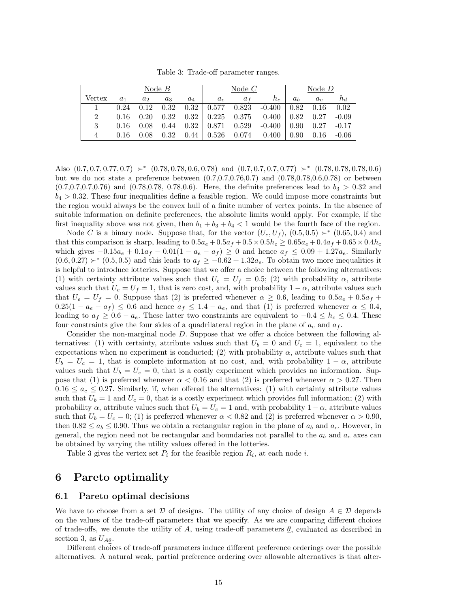Table 3: Trade-off parameter ranges.

|                | Node $B$       |                |       |       |       | Node $C$                                      |                                                                           | Node $D$ |       |               |
|----------------|----------------|----------------|-------|-------|-------|-----------------------------------------------|---------------------------------------------------------------------------|----------|-------|---------------|
| Vertex         | a <sub>1</sub> | a <sub>2</sub> | $a_3$ | $a_4$ | $a_e$ | a <sub>f</sub>                                | $h_c$                                                                     | $a_h$    | $a_c$ | $h_d$         |
|                |                |                |       |       |       |                                               | $0.24$ $0.12$ $0.32$ $0.32$ $0.577$ $0.823$ $-0.400$ $0.82$ $0.16$ $0.02$ |          |       |               |
| $\overline{2}$ |                |                |       |       |       |                                               | $0.16$ $0.20$ $0.32$ $0.32$ $0.225$ $0.375$ $0.400$ $0.82$ $0.27$ $-0.09$ |          |       |               |
| 3              |                |                |       |       |       | $0.16$ $0.08$ $0.44$ $0.32$   $0.871$ $0.529$ | $-0.400$   $0.90$ 0.27 $-0.17$                                            |          |       |               |
|                |                |                |       |       |       |                                               | $0.16$ $0.08$ $0.32$ $0.44$ $0.526$ $0.074$ $0.400$ $0.90$                |          |       | $0.16 - 0.06$ |

Also  $(0.7, 0.7, 0.77, 0.7) \succ^* (0.78, 0.78, 0.6, 0.78)$  and  $(0.7, 0.7, 0.7, 0.77) \succ^* (0.78, 0.78, 0.78, 0.6)$ but we do not state a preference between  $(0.7,0.7,0.76,0.7)$  and  $(0.78,0.78,0.6,0.78)$  or between  $(0.7, 0.7, 0.7, 0.76)$  and  $(0.78, 0.78, 0.78, 0.6)$ . Here, the definite preferences lead to  $b_3 > 0.32$  and  $b_4 > 0.32$ . These four inequalities define a feasible region. We could impose more constraints but the region would always be the convex hull of a finite number of vertex points. In the absence of suitable information on definite preferences, the absolute limits would apply. For example, if the first inequality above was not given, then  $b_1 + b_3 + b_4 < 1$  would be the fourth face of the region.

Node C is a binary node. Suppose that, for the vector  $(U_e, U_f)$ ,  $(0.5, 0.5) \succ^* (0.65, 0.4)$  and that this comparison is sharp, leading to  $0.5a_e + 0.5a_f + 0.5 \times 0.5h_c \ge 0.65a_e + 0.4a_f + 0.65 \times 0.4h_c$ which gives  $-0.15a_e + 0.1a_f - 0.01(1 - a_e - a_f) \ge 0$  and hence  $a_f \le 0.09 + 1.27a_e$ . Similarly  $(0.6, 0.27) \succ^* (0.5, 0.5)$  and this leads to  $a_f \ge -0.62 + 1.32a_e$ . To obtain two more inequalities it is helpful to introduce lotteries. Suppose that we offer a choice between the following alternatives: (1) with certainty attribute values such that  $U_e = U_f = 0.5$ ; (2) with probability  $\alpha$ , attribute values such that  $U_e = U_f = 1$ , that is zero cost, and, with probability  $1 - \alpha$ , attribute values such that  $U_e = U_f = 0$ . Suppose that (2) is preferred whenever  $\alpha \geq 0.6$ , leading to  $0.5a_e + 0.5a_f +$  $0.25(1 - a_e - a_f) \leq 0.6$  and hence  $a_f \leq 1.4 - a_e$ , and that (1) is preferred whenever  $\alpha \leq 0.4$ , leading to  $a_f \geq 0.6 - a_e$ . These latter two constraints are equivalent to  $-0.4 \leq h_c \leq 0.4$ . These four constraints give the four sides of a quadrilateral region in the plane of  $a_e$  and  $a_f$ .

Consider the non-marginal node D. Suppose that we offer a choice between the following alternatives: (1) with certainty, attribute values such that  $U_b = 0$  and  $U_c = 1$ , equivalent to the expectations when no experiment is conducted; (2) with probability  $\alpha$ , attribute values such that  $U_b = U_c = 1$ , that is complete information at no cost, and, with probability  $1 - \alpha$ , attribute values such that  $U_b = U_c = 0$ , that is a costly experiment which provides no information. Suppose that (1) is preferred whenever  $\alpha$  < 0.16 and that (2) is preferred whenever  $\alpha$  > 0.27. Then  $0.16 \le a_c \le 0.27$ . Similarly, if, when offered the alternatives: (1) with certainty attribute values such that  $U_b = 1$  and  $U_c = 0$ , that is a costly experiment which provides full information; (2) with probability  $\alpha$ , attribute values such that  $U_b = U_c = 1$  and, with probability  $1 - \alpha$ , attribute values such that  $U_b = U_c = 0$ ; (1) is preferred whenever  $\alpha < 0.82$  and (2) is preferred whenever  $\alpha > 0.90$ , then  $0.82 \le a_b \le 0.90$ . Thus we obtain a rectangular region in the plane of  $a_b$  and  $a_c$ . However, in general, the region need not be rectangular and boundaries not parallel to the  $a_b$  and  $a_c$  axes can be obtained by varying the utility values offered in the lotteries.

Table 3 gives the vertex set  $P_i$  for the feasible region  $R_i$ , at each node i.

### 6 Pareto optimality

#### 6.1 Pareto optimal decisions

We have to choose from a set D of designs. The utility of any choice of design  $A \in \mathcal{D}$  depends on the values of the trade-off parameters that we specify. As we are comparing different choices of trade-offs, we denote the utility of A, using trade-off parameters  $\theta$ , evaluated as described in section 3, as  $U_{A\theta}$ .

Different choices of trade-off parameters induce different preference orderings over the possible alternatives. A natural weak, partial preference ordering over allowable alternatives is that alter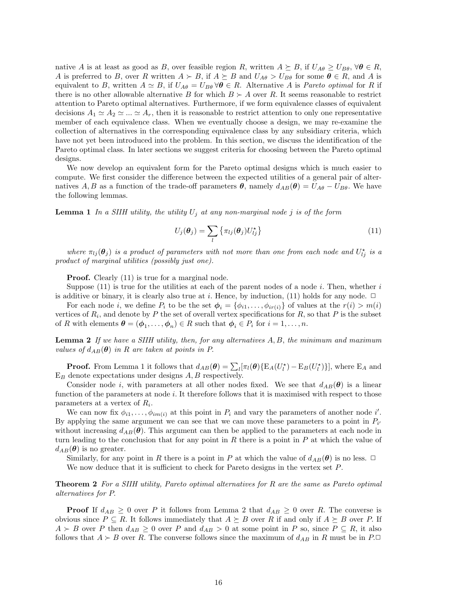native A is at least as good as B, over feasible region R, written  $A \succeq B$ , if  $U_{A\theta} \geq U_{B\theta}$ ,  $\forall \theta \in R$ , A is preferred to B, over R written  $A \succ B$ , if  $A \succeq B$  and  $U_{A\theta} > U_{B\theta}$  for some  $\theta \in R$ , and A is equivalent to B, written  $A \simeq B$ , if  $U_{A\theta} = U_{B\theta} \forall \theta \in R$ . Alternative A is Pareto optimal for R if there is no other allowable alternative B for which  $B \succ A$  over R. It seems reasonable to restrict attention to Pareto optimal alternatives. Furthermore, if we form equivalence classes of equivalent decisions  $A_1 \simeq A_2 \simeq ... \simeq A_r$ , then it is reasonable to restrict attention to only one representative member of each equivalence class. When we eventually choose a design, we may re-examine the collection of alternatives in the corresponding equivalence class by any subsidiary criteria, which have not yet been introduced into the problem. In this section, we discuss the identification of the Pareto optimal class. In later sections we suggest criteria for choosing between the Pareto optimal designs.

We now develop an equivalent form for the Pareto optimal designs which is much easier to compute. We first consider the difference between the expected utilities of a general pair of alternatives A, B as a function of the trade-off parameters  $\theta$ , namely  $d_{AB}(\theta) = U_{A\theta} - U_{B\theta}$ . We have the following lemmas.

**Lemma 1** In a SIIH utility, the utility  $U_j$  at any non-marginal node j is of the form

$$
U_j(\boldsymbol{\theta}_j) = \sum_l \left\{ \pi_{lj}(\boldsymbol{\theta}_j) U_{lj}^{\star} \right\} \tag{11}
$$

where  $\pi_{lj}(\theta_j)$  is a product of parameters with not more than one from each node and  $U^{\star}_{lj}$  is a product of marginal utilities (possibly just one).

Proof. Clearly (11) is true for a marginal node.

Suppose  $(11)$  is true for the utilities at each of the parent nodes of a node i. Then, whether i is additive or binary, it is clearly also true at i. Hence, by induction, (11) holds for any node.  $\Box$ 

For each node i, we define  $P_i$  to be the set  $\phi_i = {\phi_{i1}, \ldots, \phi_{ir(i)}}$  of values at the  $r(i) > m(i)$ vertices of  $R_i$ , and denote by P the set of overall vertex specifications for R, so that P is the subset of R with elements  $\boldsymbol{\theta} = (\phi_1, \dots, \phi_n) \in R$  such that  $\phi_i \in P_i$  for  $i = 1, \dots, n$ .

**Lemma 2** If we have a SIIH utility, then, for any alternatives  $A, B$ , the minimum and maximum values of  $d_{AB}(\theta)$  in R are taken at points in P.

**Proof.** From Lemma 1 it follows that  $d_{AB}(\theta) = \sum_l [\pi_l(\theta) \{ E_A(U_l^{\star}) - E_B(U_l^{\star}) \}]$ , where  $E_A$  and  $E_B$  denote expectations under designs  $A, B$  respectively.

Consider node i, with parameters at all other nodes fixed. We see that  $d_{AB}(\theta)$  is a linear function of the parameters at node i. It therefore follows that it is maximised with respect to those parameters at a vertex of  $R_i$ .

We can now fix  $\phi_{i1}, \ldots, \phi_{im(i)}$  at this point in  $P_i$  and vary the parameters of another node i'. By applying the same argument we can see that we can move these parameters to a point in  $P_{i'}$ without increasing  $d_{AB}(\theta)$ . This argument can then be applied to the parameters at each node in turn leading to the conclusion that for any point in  $R$  there is a point in  $P$  at which the value of  $d_{AB}(\boldsymbol{\theta})$  is no greater.

Similarly, for any point in R there is a point in P at which the value of  $d_{AB}(\theta)$  is no less.  $\Box$ We now deduce that it is sufficient to check for Pareto designs in the vertex set P.

Theorem 2 For a SIIH utility, Pareto optimal alternatives for R are the same as Pareto optimal alternatives for P.

**Proof** If  $d_{AB} \geq 0$  over P it follows from Lemma 2 that  $d_{AB} \geq 0$  over R. The converse is obvious since  $P \subseteq R$ . It follows immediately that  $A \succeq B$  over R if and only if  $A \succeq B$  over P. If  $A \succ B$  over P then  $d_{AB} \ge 0$  over P and  $d_{AB} > 0$  at some point in P so, since  $P \subseteq R$ , it also follows that  $A \succ B$  over R. The converse follows since the maximum of  $d_{AB}$  in R must be in P. $\Box$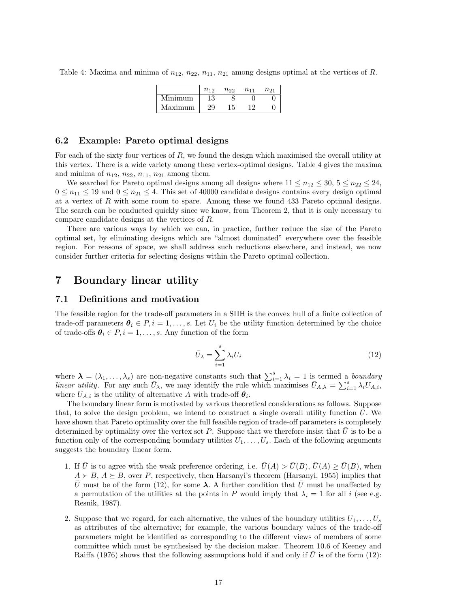Table 4: Maxima and minima of  $n_{12}$ ,  $n_{22}$ ,  $n_{11}$ ,  $n_{21}$  among designs optimal at the vertices of R.

|         | $n_{12}$ | $n_{22}$ | $n_{11}$ | $n_{21}$ |
|---------|----------|----------|----------|----------|
| Minimum | 13       |          |          |          |
| Maximum | 29       | 15       |          |          |

#### 6.2 Example: Pareto optimal designs

For each of the sixty four vertices of R, we found the design which maximised the overall utility at this vertex. There is a wide variety among these vertex-optimal designs. Table 4 gives the maxima and minima of  $n_{12}$ ,  $n_{22}$ ,  $n_{11}$ ,  $n_{21}$  among them.

We searched for Pareto optimal designs among all designs where  $11 \leq n_{12} \leq 30, 5 \leq n_{22} \leq 24$ ,  $0 \leq n_{11} \leq 19$  and  $0 \leq n_{21} \leq 4$ . This set of 40000 candidate designs contains every design optimal at a vertex of R with some room to spare. Among these we found 433 Pareto optimal designs. The search can be conducted quickly since we know, from Theorem 2, that it is only necessary to compare candidate designs at the vertices of R.

There are various ways by which we can, in practice, further reduce the size of the Pareto optimal set, by eliminating designs which are "almost dominated" everywhere over the feasible region. For reasons of space, we shall address such reductions elsewhere, and instead, we now consider further criteria for selecting designs within the Pareto optimal collection.

### 7 Boundary linear utility

#### 7.1 Definitions and motivation

The feasible region for the trade-off parameters in a SIIH is the convex hull of a finite collection of trade-off parameters  $\theta_i \in P, i = 1, \ldots, s$ . Let  $U_i$  be the utility function determined by the choice of trade-offs  $\theta_i \in P, i = 1, \ldots, s$ . Any function of the form

$$
\bar{U}_{\lambda} = \sum_{i=1}^{s} \lambda_i U_i \tag{12}
$$

where  $\lambda = (\lambda_1, \ldots, \lambda_s)$  are non-negative constants such that  $\sum_{i=1}^s \lambda_i = 1$  is termed a boundary linear utility. For any such  $\bar{U}_{\lambda}$ , we may identify the rule which maximises  $\bar{U}_{A,\lambda} = \sum_{i=1}^{s} \lambda_i U_{A,i}$ , where  $U_{A,i}$  is the utility of alternative A with trade-off  $\theta_i$ .

The boundary linear form is motivated by various theoretical considerations as follows. Suppose that, to solve the design problem, we intend to construct a single overall utility function  $U$ . We have shown that Pareto optimality over the full feasible region of trade-off parameters is completely determined by optimality over the vertex set  $P$ . Suppose that we therefore insist that  $U$  is to be a function only of the corresponding boundary utilities  $U_1, \ldots, U_s$ . Each of the following arguments suggests the boundary linear form.

- 1. If  $\bar{U}$  is to agree with the weak preference ordering, i.e.  $\bar{U}(A) > \bar{U}(B), \bar{U}(A) \ge \bar{U}(B)$ , when  $A \succ B$ ,  $A \succeq B$ , over P, respectively, then Harsanyi's theorem (Harsanyi, 1955) implies that  $\bar{U}$  must be of the form (12), for some  $\lambda$ . A further condition that  $\bar{U}$  must be unaffected by a permutation of the utilities at the points in P would imply that  $\lambda_i = 1$  for all i (see e.g. Resnik, 1987).
- 2. Suppose that we regard, for each alternative, the values of the boundary utilities  $U_1, \ldots, U_s$ as attributes of the alternative; for example, the various boundary values of the trade-off parameters might be identified as corresponding to the different views of members of some committee which must be synthesised by the decision maker. Theorem 10.6 of Keeney and Raiffa (1976) shows that the following assumptions hold if and only if  $U$  is of the form (12):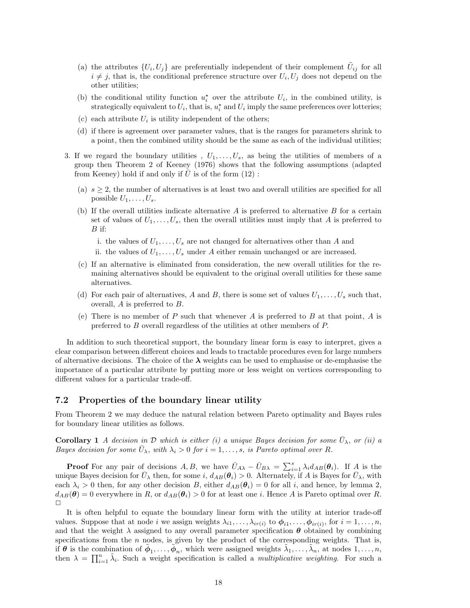- (a) the attributes  $\{U_i, U_j\}$  are preferentially independent of their complement  $\tilde{U}_{ij}$  for all  $i \neq j$ , that is, the conditional preference structure over  $U_i, U_j$  does not depend on the other utilities;
- (b) the conditional utility function  $u_i^*$  over the attribute  $U_i$ , in the combined utility, is strategically equivalent to  $U_i$ , that is,  $u_i^*$  and  $U_i$  imply the same preferences over lotteries;
- (c) each attribute  $U_i$  is utility independent of the others;
- (d) if there is agreement over parameter values, that is the ranges for parameters shrink to a point, then the combined utility should be the same as each of the individual utilities;
- 3. If we regard the boundary utilities,  $U_1, \ldots, U_s$ , as being the utilities of members of a group then Theorem 2 of Keeney (1976) shows that the following assumptions (adapted from Keeney) hold if and only if  $U$  is of the form  $(12)$ :
	- (a)  $s \geq 2$ , the number of alternatives is at least two and overall utilities are specified for all possible  $U_1, \ldots, U_s$ .
	- (b) If the overall utilities indicate alternative  $A$  is preferred to alternative  $B$  for a certain set of values of  $U_1, \ldots, U_s$ , then the overall utilities must imply that A is preferred to B if:
		- i. the values of  $U_1, \ldots, U_s$  are not changed for alternatives other than A and
		- ii. the values of  $U_1, \ldots, U_s$  under A either remain unchanged or are increased.
	- (c) If an alternative is eliminated from consideration, the new overall utilities for the remaining alternatives should be equivalent to the original overall utilities for these same alternatives.
	- (d) For each pair of alternatives, A and B, there is some set of values  $U_1, \ldots, U_s$  such that, overall, A is preferred to B.
	- (e) There is no member of  $P$  such that whenever  $A$  is preferred to  $B$  at that point,  $A$  is preferred to B overall regardless of the utilities at other members of P.

In addition to such theoretical support, the boundary linear form is easy to interpret, gives a clear comparison between different choices and leads to tractable procedures even for large numbers of alternative decisions. The choice of the  $\lambda$  weights can be used to emphasise or de-emphasise the importance of a particular attribute by putting more or less weight on vertices corresponding to different values for a particular trade-off.

#### 7.2 Properties of the boundary linear utility

From Theorem 2 we may deduce the natural relation between Pareto optimality and Bayes rules for boundary linear utilities as follows.

**Corollary 1** A decision in D which is either (i) a unique Bayes decision for some  $\bar{U}_{\lambda}$ , or (ii) a Bayes decision for some  $\bar{U}_{\lambda}$ , with  $\lambda_i > 0$  for  $i = 1, \ldots, s$ , is Pareto optimal over R.

**Proof** For any pair of decisions  $A, B$ , we have  $\bar{U}_{A\lambda} - \bar{U}_{B\lambda} = \sum_{i=1}^{s} \lambda_i d_{AB}(\theta_i)$ . If A is the unique Bayes decision for  $\bar{U}_{\lambda}$  then, for some i,  $d_{AB}(\theta_i) > 0$ . Alternately, if A is Bayes for  $\bar{U}_{\lambda}$ , with each  $\lambda_i > 0$  then, for any other decision B, either  $d_{AB}(\theta_i) = 0$  for all i, and hence, by lemma 2,  $d_{AB}(\theta) = 0$  everywhere in R, or  $d_{AB}(\theta_i) > 0$  for at least one *i*. Hence A is Pareto optimal over R.  $\Box$ 

It is often helpful to equate the boundary linear form with the utility at interior trade-off values. Suppose that at node i we assign weights  $\lambda_{i1}, \ldots, \lambda_{ir(i)}$  to  $\phi_{i1}, \ldots, \phi_{ir(i)}$ , for  $i = 1, \ldots, n$ , and that the weight  $\lambda$  assigned to any overall parameter specification  $\theta$  obtained by combining specifications from the  $n$  nodes, is given by the product of the corresponding weights. That is, if  $\theta$  is the combination of  $\tilde{\phi}_1,\ldots,\tilde{\phi}_n$ , which were assigned weights  $\tilde{\lambda}_1,\ldots,\tilde{\lambda}_n$ , at nodes  $1,\ldots,n$ , then  $\lambda = \prod_{i=1}^n \tilde{\lambda}_i$ . Such a weight specification is called a *multiplicative weighting*. For such a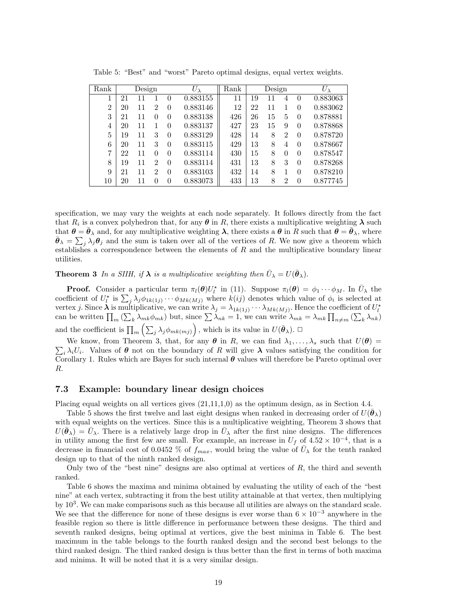| Rank           | Design |    | $\bar{U}_{\lambda}$         | Rank             | Design   |     |    | $\overline{U}_{\lambda}$ |                |                  |          |
|----------------|--------|----|-----------------------------|------------------|----------|-----|----|--------------------------|----------------|------------------|----------|
|                | 21     | 11 |                             | $\left( \right)$ | 0.883155 | 11  | 19 | 11                       | 4              | $\theta$         | 0.883063 |
| $\overline{2}$ | 20     | 11 | $\mathcal{D}_{\mathcal{L}}$ | $\theta$         | 0.883146 | 12  | 22 | 11                       |                | $\left( \right)$ | 0.883062 |
| 3              | 21     | 11 | $\theta$                    | $\left( \right)$ | 0.883138 | 426 | 26 | 15                       | 5              | $\theta$         | 0.878881 |
| 4              | 20     | 11 |                             | $\theta$         | 0.883137 | 427 | 23 | 15                       | 9              | 0                | 0.878868 |
| 5              | 19     | 11 | 3                           | $\theta$         | 0.883129 | 428 | 14 | 8                        | $\mathfrak{D}$ | $\left( \right)$ | 0.878720 |
| 6              | 20     | 11 | 3                           | $\theta$         | 0.883115 | 429 | 13 | 8                        | 4              | $\theta$         | 0.878667 |
| 7              | 22     | 11 |                             | $\theta$         | 0.883114 | 430 | 15 | 8                        | 0              | 0                | 0.878547 |
| 8              | 19     | 11 | $\mathcal{D}_{\mathcal{L}}$ | $\theta$         | 0.883114 | 431 | 13 | 8                        | 3              | 0                | 0.878268 |
| 9              | 21     | 11 | $\Omega$                    | $\theta$         | 0.883103 | 432 | 14 | 8                        |                | 0                | 0.878210 |
| 10             | 20     | 11 |                             | $\theta$         | 0.883073 | 433 | 13 | 8                        | $\mathcal{D}$  | 0                | 0.877745 |

Table 5: "Best" and "worst" Pareto optimal designs, equal vertex weights.

specification, we may vary the weights at each node separately. It follows directly from the fact that  $R_i$  is a convex polyhedron that, for any  $\theta$  in R, there exists a multiplicative weighting  $\lambda$  such that  $\theta = \bar{\theta}_{\lambda}$  and, for any multiplicative weighting  $\lambda$ , there exists a  $\theta$  in R such that  $\bar{\theta} = \bar{\theta}_{\lambda}$ , where  $\bar{\theta}_{\lambda} = \sum_{j} \lambda_{j} \theta_{j}$  and the sum is taken over all of the vertices of R. We now give a theorem which establishes a correspondence between the elements of  $R$  and the multiplicative boundary linear utilities.

**Theorem 3** In a SIIH, if  $\lambda$  is a multiplicative weighting then  $\bar{U}_{\lambda} = U(\bar{\theta}_{\lambda})$ .

**Proof.** Consider a particular term  $\pi_l(\boldsymbol{\theta}) U_l^*$  in (11). Suppose  $\pi_l(\boldsymbol{\theta}) = \phi_1 \cdots \phi_M$ . In  $\bar{U}_{\lambda}$  the coefficient of  $U_l^*$  is  $\sum_j \lambda_j \phi_{1k(1j)} \cdots \phi_{Mk(Mj)}$  where  $k(ij)$  denotes which value of  $\phi_i$  is selected at vertex *j*. Since  $\lambda$  is multiplicative, we can write  $\lambda_j = \lambda_{1k(1j)} \cdots \lambda_{Mk(Mj)}$ . Hence the coefficient of  $U_l^*$  can be written  $\prod_m (\sum_k \lambda_{mk} \phi_{mk})$  but, since  $\sum \lambda_{nk} = 1$ , we can write  $\lambda_{mk} = \lambda_{mk} \prod_{n \neq m} (\sum_k \lambda_{nk})$ and the coefficient is  $\prod_m \left( \sum_j \lambda_j \phi_{mk(mj)} \right)$ , which is its value in  $U(\bar{\theta}_\lambda)$ .

 $\sum_i \lambda_i U_i$ . Values of  $\theta$  not on the boundary of R will give  $\lambda$  values satisfying the condition for We know, from Theorem 3, that, for any  $\theta$  in R, we can find  $\lambda_1, \ldots, \lambda_s$  such that  $U(\theta)$  = Corollary 1. Rules which are Bayes for such internal  $\theta$  values will therefore be Pareto optimal over R.

#### 7.3 Example: boundary linear design choices

Placing equal weights on all vertices gives (21,11,1,0) as the optimum design, as in Section 4.4.

Table 5 shows the first twelve and last eight designs when ranked in decreasing order of  $U(\bar{\theta}_{\lambda})$ with equal weights on the vertices. Since this is a multiplicative weighting, Theorem 3 shows that  $U(\bar{\theta}_{\lambda}) = \bar{U}_{\lambda}$ . There is a relatively large drop in  $\bar{U}_{\lambda}$  after the first nine designs. The differences in utility among the first few are small. For example, an increase in  $U_f$  of  $4.52 \times 10^{-4}$ , that is a decrease in financial cost of 0.0452 % of  $f_{max}$ , would bring the value of  $\bar{U}_{\lambda}$  for the tenth ranked design up to that of the ninth ranked design.

Only two of the "best nine" designs are also optimal at vertices of  $R$ , the third and seventh ranked.

Table 6 shows the maxima and minima obtained by evaluating the utility of each of the "best nine" at each vertex, subtracting it from the best utility attainable at that vertex, then multiplying by  $10<sup>3</sup>$ . We can make comparisons such as this because all utilities are always on the standard scale. We see that the difference for none of these designs is ever worse than  $6 \times 10^{-3}$  anywhere in the feasible region so there is little difference in performance between these designs. The third and seventh ranked designs, being optimal at vertices, give the best minima in Table 6. The best maximum in the table belongs to the fourth ranked design and the second best belongs to the third ranked design. The third ranked design is thus better than the first in terms of both maxima and minima. It will be noted that it is a very similar design.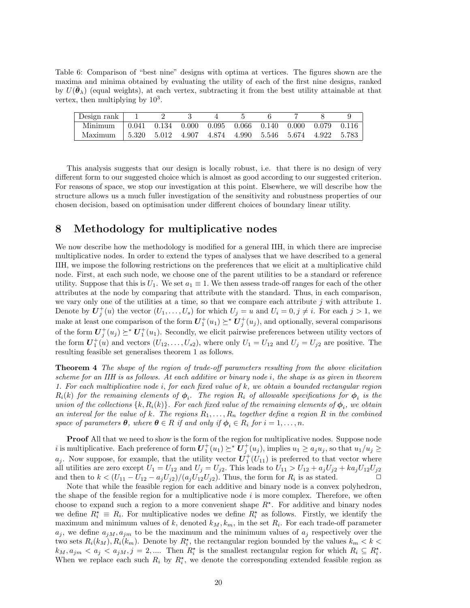Table 6: Comparison of "best nine" designs with optima at vertices. The figures shown are the maxima and minima obtained by evaluating the utility of each of the first nine designs, ranked by  $U(\bar{\theta}_{\lambda})$  (equal weights), at each vertex, subtracting it from the best utility attainable at that vertex, then multiplying by  $10^3$ .

| Design rank |                                                                     |  |  |  |          |
|-------------|---------------------------------------------------------------------|--|--|--|----------|
| Minimum     | $\vert$ 0.041 0.134 0.000 0.095 0.066 0.140 0.000 0.079             |  |  |  | $-0.116$ |
| Maximum     | $\frac{1}{2}$ 5.320 5.012 4.907 4.874 4.990 5.546 5.674 4.922 5.783 |  |  |  |          |

This analysis suggests that our design is locally robust, i.e. that there is no design of very different form to our suggested choice which is almost as good according to our suggested criterion. For reasons of space, we stop our investigation at this point. Elsewhere, we will describe how the structure allows us a much fuller investigation of the sensitivity and robustness properties of our chosen decision, based on optimisation under different choices of boundary linear utility.

### 8 Methodology for multiplicative nodes

We now describe how the methodology is modified for a general IIH, in which there are imprecise multiplicative nodes. In order to extend the types of analyses that we have described to a general IIH, we impose the following restrictions on the preferences that we elicit at a multiplicative child node. First, at each such node, we choose one of the parent utilities to be a standard or reference utility. Suppose that this is  $U_1$ . We set  $a_1 \equiv 1$ . We then assess trade-off ranges for each of the other attributes at the node by comparing that attribute with the standard. Thus, in each comparison, we vary only one of the utilities at a time, so that we compare each attribute  $j$  with attribute 1. Denote by  $\mathbf{U}_j^+(u)$  the vector  $(U_1,\ldots,U_s)$  for which  $U_j = u$  and  $U_i = 0, j \neq i$ . For each  $j > 1$ , we make at least one comparison of the form  $\bm{U}_1^+(u_1) \succeq^* \bm{U}_j^+(u_j)$ , and optionally, several comparisons of the form  $U_j^+(u_j) \succeq^* U_1^+(u_1)$ . Secondly, we elicit pairwise preferences between utility vectors of the form  $U_1^+(u)$  and vectors  $(U_{12},...,U_{s2})$ , where only  $U_1 = U_{12}$  and  $U_j = U_{j2}$  are positive. The resulting feasible set generalises theorem 1 as follows.

Theorem 4 The shape of the region of trade-off parameters resulting from the above elicitation scheme for an IIH is as follows. At each additive or binary node *i*, the shape is as given in theorem 1. For each multiplicative node  $i$ , for each fixed value of  $k$ , we obtain a bounded rectangular region  $R_i(k)$  for the remaining elements of  $\phi_i$ . The region  $R_i$  of allowable specifications for  $\phi_i$  is the union of the collections  $\{k, R_i(k)\}$ . For each fixed value of the remaining elements of  $\boldsymbol{\phi}_i$ , we obtain an interval for the value of k. The regions  $R_1, \ldots, R_n$  together define a region R in the combined space of parameters  $\boldsymbol{\theta}$ , where  $\boldsymbol{\theta} \in R$  if and only if  $\boldsymbol{\phi}_i \in R_i$  for  $i = 1, \ldots, n$ .

Proof All that we need to show is the form of the region for multiplicative nodes. Suppose node i is multiplicative. Each preference of form  $\boldsymbol{U}_1^+(u_1) \succeq^* \boldsymbol{U}_j^+(u_j)$ , implies  $u_1 \geq a_j u_j$ , so that  $u_1/u_j \geq$  $a_j$ . Now suppose, for example, that the utility vector  $\mathbf{U}_1^+(U_{11})$  is preferred to that vector where all utilities are zero except  $U_1 = U_{12}$  and  $U_j = U_{j2}$ . This leads to  $U_{11} > U_{12} + a_jU_{j2} + ka_jU_{12}U_{j2}$ and then to  $k < (U_{11} - U_{12} - a_j U_{j2})/(a_j U_{12} U_{j2})$ . Thus, the form for  $R_i$  is as stated.  $\Box$ 

Note that while the feasible region for each additive and binary node is a convex polyhedron, the shape of the feasible region for a multiplicative node  $i$  is more complex. Therefore, we often choose to expand such a region to a more convenient shape  $R^*$ . For additive and binary nodes we define  $R_i^* \equiv R_i$ . For multiplicative nodes we define  $R_i^*$  as follows. Firstly, we identify the maximum and minimum values of k, denoted  $k_M, k_m$ , in the set  $R_i$ . For each trade-off parameter  $a_j$ , we define  $a_{jM}, a_{jm}$  to be the maximum and the minimum values of  $a_j$  respectively over the two sets  $R_i(k_M), R_i(k_m)$ . Denote by  $R_i^*$ , the rectangular region bounded by the values  $k_m < k <$  $k_M, a_{jm} < a_j < a_{jM}, j = 2, \dots$  Then  $R_i^*$  is the smallest rectangular region for which  $R_i \subseteq R_i^*$ . When we replace each such  $R_i$  by  $R_i^*$ , we denote the corresponding extended feasible region as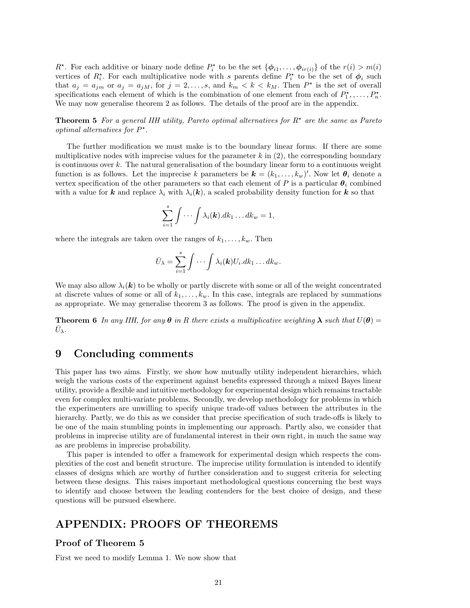R<sup>\*</sup>. For each additive or binary node define  $P_i^*$  to be the set  $\{\phi_{i1}, \ldots, \phi_{ir(i)}\}$  of the  $r(i) > m(i)$ vertices of  $R_i^*$ . For each multiplicative node with s parents define  $P_i^*$  to be the set of  $\phi_i$  such that  $a_j = a_{jm}$  or  $a_j = a_{jM}$ , for  $j = 2, \ldots, s$ , and  $k_m < k < k_M$ . Then  $P^*$  is the set of overall specifications each element of which is the combination of one element from each of  $P_1^*, \ldots, P_n^*$ . We may now generalise theorem 2 as follows. The details of the proof are in the appendix.

**Theorem 5** For a general IIH utility, Pareto optimal alternatives for  $R^*$  are the same as Pareto optimal alternatives for  $P^*$ .

The further modification we must make is to the boundary linear forms. If there are some multiplicative nodes with imprecise values for the parameter  $k$  in  $(2)$ , the corresponding boundary is continuous over k. The natural generalisation of the boundary linear form to a continuous weight function is as follows. Let the imprecise k parameters be  $\mathbf{k} = (k_1, \ldots, k_w)'$ . Now let  $\theta_i$  denote a vertex specification of the other parameters so that each element of P is a particular  $\theta_i$  combined with a value for k and replace  $\lambda_i$  with  $\lambda_i(k)$ , a scaled probability density function for k so that

$$
\sum_{i=1}^s \int \cdots \int \lambda_i(\mathbf{k}).dk_1 \ldots dk_w = 1,
$$

where the integrals are taken over the ranges of  $k_1, \ldots, k_w$ . Then

$$
\bar{U}_{\lambda} = \sum_{i=1}^{s} \int \cdots \int \lambda_i(\mathbf{k}) U_i \, dk_1 \ldots dk_w.
$$

We may also allow  $\lambda_i(\mathbf{k})$  to be wholly or partly discrete with some or all of the weight concentrated at discrete values of some or all of  $k_1, \ldots, k_w$ . In this case, integrals are replaced by summations as appropriate. We may generalise theorem 3 as follows. The proof is given in the appendix.

**Theorem 6** In any IIH, for any  $\theta$  in R there exists a multiplicative weighting  $\lambda$  such that  $U(\theta)$  =  $\bar{U}_{\lambda}$ .

### 9 Concluding comments

This paper has two aims. Firstly, we show how mutually utility independent hierarchies, which weigh the various costs of the experiment against benefits expressed through a mixed Bayes linear utility, provide a flexible and intuitive methodology for experimental design which remains tractable even for complex multi-variate problems. Secondly, we develop methodology for problems in which the experimenters are unwilling to specify unique trade-off values between the attributes in the hierarchy. Partly, we do this as we consider that precise specification of such trade-offs is likely to be one of the main stumbling points in implementing our approach. Partly also, we consider that problems in imprecise utility are of fundamental interest in their own right, in much the same way as are problems in imprecise probability.

This paper is intended to offer a framework for experimental design which respects the complexities of the cost and benefit structure. The imprecise utility formulation is intended to identify classes of designs which are worthy of further consideration and to suggest criteria for selecting between these designs. This raises important methodological questions concerning the best ways to identify and choose between the leading contenders for the best choice of design, and these questions will be pursued elsewhere.

### APPENDIX: PROOFS OF THEOREMS

#### Proof of Theorem 5

First we need to modify Lemma 1. We now show that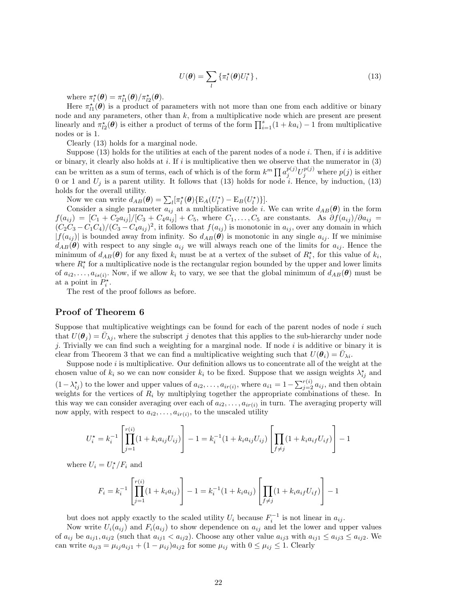$$
U(\boldsymbol{\theta}) = \sum_{l} \{ \pi_l^{\star}(\boldsymbol{\theta}) U_l^{\star} \}, \qquad (13)
$$

where  $\pi_l^{\star}(\boldsymbol{\theta}) = \pi_{l1}^{\star}(\boldsymbol{\theta})/\pi_{l2}^{\star}(\boldsymbol{\theta}).$ 

Here  $\pi_{l}^{\star}(\theta)$  is a product of parameters with not more than one from each additive or binary node and any parameters, other than  $k$ , from a multiplicative node which are present are present linearly and  $\pi_{l2}^{\star}(\theta)$  is either a product of terms of the form  $\prod_{i=1}^{s}(1 + ka_i) - 1$  from multiplicative nodes or is 1.

Clearly (13) holds for a marginal node.

Suppose (13) holds for the utilities at each of the parent nodes of a node i. Then, if i is additive or binary, it clearly also holds at  $i$ . If  $i$  is multiplicative then we observe that the numerator in  $(3)$ can be written as a sum of terms, each of which is of the form  $k^m \prod a_j^{p(j)} U_j^{p(j)}$  where  $p(j)$  is either 0 or 1 and  $U_j$  is a parent utility. It follows that (13) holds for node i. Hence, by induction, (13) holds for the overall utility.

Now we can write  $d_{AB}(\theta) = \sum_l [\pi_l^{\star}(\theta) \{ \mathbb{E}_A(U_l^{\star}) - \mathbb{E}_B(U_l^{\star}) \}].$ 

Consider a single parameter  $a_{ij}$  at a multiplicative node i. We can write  $d_{AB}(\theta)$  in the form  $f(a_{ij}) = [C_1 + C_2 a_{ij}] / [C_3 + C_4 a_{ij}] + C_5$ , where  $C_1, \ldots, C_5$  are constants. As  $\partial f(a_{ij}) / \partial a_{ij} =$  $(C_2C_3 - C_1C_4)/(C_3 - C_4a_{ij})^2$ , it follows that  $f(a_{ij})$  is monotonic in  $a_{ij}$ , over any domain in which  $|f(a_{ij})|$  is bounded away from infinity. So  $d_{AB}(\theta)$  is monotonic in any single  $a_{ij}$ . If we minimise  $d_{AB}(\theta)$  with respect to any single  $a_{ij}$  we will always reach one of the limits for  $a_{ij}$ . Hence the minimum of  $d_{AB}(\theta)$  for any fixed  $k_i$  must be at a vertex of the subset of  $R_i^*$ , for this value of  $k_i$ , where  $R_i^*$  for a multiplicative node is the rectangular region bounded by the upper and lower limits of  $a_{i2}, \ldots, a_{is(i)}$ . Now, if we allow  $k_i$  to vary, we see that the global minimum of  $d_{AB}(\theta)$  must be at a point in  $P_i^*$ .

The rest of the proof follows as before.

### Proof of Theorem 6

Suppose that multiplicative weightings can be found for each of the parent nodes of node  $i$  such that  $U(\theta_j) = \bar{U}_{\lambda j}$ , where the subscript j denotes that this applies to the sub-hierarchy under node j. Trivially we can find such a weighting for a marginal node. If node  $i$  is additive or binary it is clear from Theorem 3 that we can find a multiplicative weighting such that  $U(\theta_i) = \bar{U}_{\lambda_i}$ .

Suppose node  $i$  is multiplicative. Our definition allows us to concentrate all of the weight at the chosen value of  $k_i$  so we can now consider  $k_i$  to be fixed. Suppose that we assign weights  $\lambda_{ij}^{\star}$  and  $(1-\lambda_{ij}^*)$  to the lower and upper values of  $a_{i2},\ldots,a_{ir(i)}$ , where  $a_{i1}=1-\sum_{j=2}^{r(i)} a_{ij}$ , and then obtain weights for the vertices of  $R_i$  by multiplying together the appropriate combinations of these. In this way we can consider averaging over each of  $a_{i2}, \ldots, a_{ir(i)}$  in turn. The averaging property will now apply, with respect to  $a_{i2}, \ldots, a_{ir(i)}$ , to the unscaled utility

$$
U_i^* = k_i^{-1} \left[ \prod_{j=1}^{r(i)} (1 + k_i a_{ij} U_{ij}) \right] - 1 = k_i^{-1} (1 + k_i a_{ij} U_{ij}) \left[ \prod_{f \neq j} (1 + k_i a_{if} U_{if}) \right] - 1
$$

where  $U_i = U_i^* / F_i$  and

$$
F_i = k_i^{-1} \left[ \prod_{j=1}^{r(i)} (1 + k_i a_{ij}) \right] - 1 = k_i^{-1} (1 + k_i a_{ij}) \left[ \prod_{f \neq j} (1 + k_i a_{if} U_{if}) \right] - 1
$$

but does not apply exactly to the scaled utility  $U_i$  because  $F_i^{-1}$  is not linear in  $a_{ij}$ .

Now write  $U_i(a_{ij})$  and  $F_i(a_{ij})$  to show dependence on  $a_{ij}$  and let the lower and upper values of  $a_{ij}$  be  $a_{ij1}, a_{ij2}$  (such that  $a_{ij1} < a_{ij2}$ ). Choose any other value  $a_{ij3}$  with  $a_{ij1} \le a_{ij3} \le a_{ij2}$ . We can write  $a_{ij3} = \mu_{ij} a_{ij1} + (1 - \mu_{ij}) a_{ij2}$  for some  $\mu_{ij}$  with  $0 \le \mu_{ij} \le 1$ . Clearly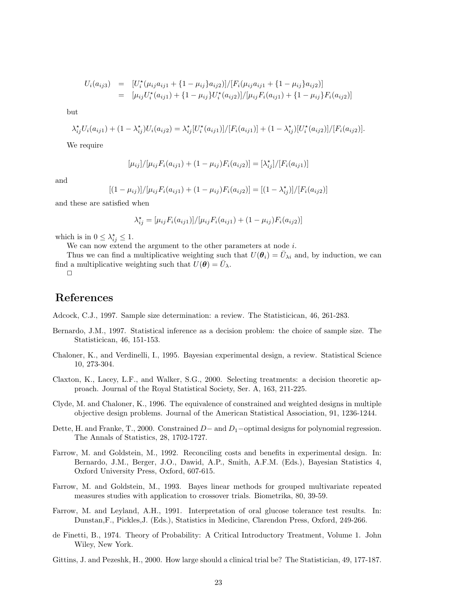$$
U_i(a_{ij3}) = [U_i^*(\mu_{ij}a_{ij1} + \{1 - \mu_{ij}\}a_{ij2})]/[F_i(\mu_{ij}a_{ij1} + \{1 - \mu_{ij}\}a_{ij2})]
$$
  
= 
$$
[\mu_{ij}U_i^*(a_{ij1}) + \{1 - \mu_{ij}\}U_i^*(a_{ij2})]/[\mu_{ij}F_i(a_{ij1}) + \{1 - \mu_{ij}\}F_i(a_{ij2})]
$$

but

$$
\lambda_{ij}^* U_i(a_{ij1}) + (1 - \lambda_{ij}^*) U_i(a_{ij2}) = \lambda_{ij}^* [U_i^*(a_{ij1})] / [F_i(a_{ij1})] + (1 - \lambda_{ij}^*) [U_i^*(a_{ij2})] / [F_i(a_{ij2})].
$$

We require

$$
[\mu_{ij}]/[\mu_{ij}F_i(a_{ij1}) + (1 - \mu_{ij})F_i(a_{ij2})] = [\lambda_{ij}^*]/[F_i(a_{ij1})]
$$

and

$$
[(1 - \mu_{ij})]/[\mu_{ij}F_i(a_{ij1}) + (1 - \mu_{ij})F_i(a_{ij2})] = [(1 - \lambda_{ij}^{\star})]/[F_i(a_{ij2})]
$$

and these are satisfied when

$$
\lambda_{ij}^* = [\mu_{ij} F_i(a_{ij1})]/[\mu_{ij} F_i(a_{ij1}) + (1 - \mu_{ij}) F_i(a_{ij2})]
$$

which is in  $0 \leq \lambda_{ij}^* \leq 1$ .

We can now extend the argument to the other parameters at node i.

Thus we can find a multiplicative weighting such that  $U(\theta_i) = \bar{U}_{\lambda_i}$  and, by induction, we can find a multiplicative weighting such that  $U(\theta) = \bar{U}_{\lambda}$ .

 $\Box$ 

### References

Adcock, C.J., 1997. Sample size determination: a review. The Statisticican, 46, 261-283.

- Bernardo, J.M., 1997. Statistical inference as a decision problem: the choice of sample size. The Statisticican, 46, 151-153.
- Chaloner, K., and Verdinelli, I., 1995. Bayesian experimental design, a review. Statistical Science 10, 273-304.
- Claxton, K., Lacey, L.F., and Walker, S.G., 2000. Selecting treatments: a decision theoretic approach. Journal of the Royal Statistical Society, Ser. A, 163, 211-225.
- Clyde, M. and Chaloner, K., 1996. The equivalence of constrained and weighted designs in multiple objective design problems. Journal of the American Statistical Association, 91, 1236-1244.
- Dette, H. and Franke, T., 2000. Constrained  $D-$  and  $D_1-$ optimal designs for polynomial regression. The Annals of Statistics, 28, 1702-1727.
- Farrow, M. and Goldstein, M., 1992. Reconciling costs and benefits in experimental design. In: Bernardo, J.M., Berger, J.O., Dawid, A.P., Smith, A.F.M. (Eds.), Bayesian Statistics 4, Oxford University Press, Oxford, 607-615.
- Farrow, M. and Goldstein, M., 1993. Bayes linear methods for grouped multivariate repeated measures studies with application to crossover trials. Biometrika, 80, 39-59.
- Farrow, M. and Leyland, A.H., 1991. Interpretation of oral glucose tolerance test results. In: Dunstan,F., Pickles,J. (Eds.), Statistics in Medicine, Clarendon Press, Oxford, 249-266.
- de Finetti, B., 1974. Theory of Probability: A Critical Introductory Treatment, Volume 1. John Wiley, New York.
- Gittins, J. and Pezeshk, H., 2000. How large should a clinical trial be? The Statistician, 49, 177-187.